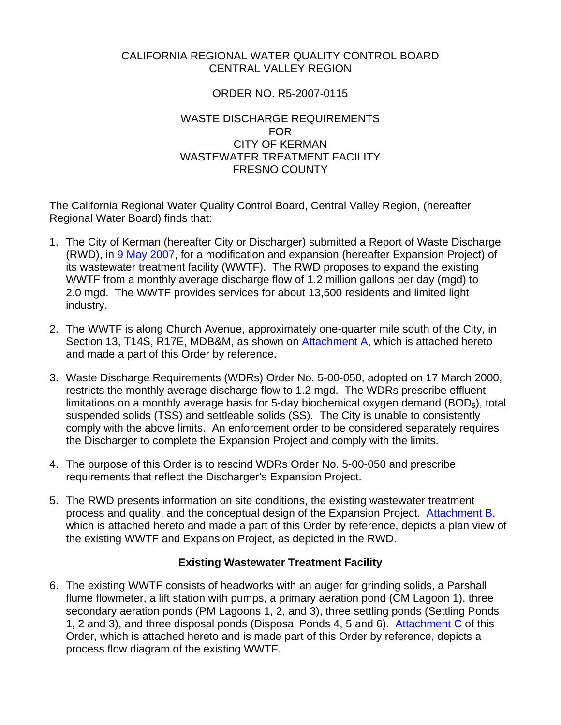## CALIFORNIA REGIONAL WATER QUALITY CONTROL BOARD CENTRAL VALLEY REGION

# ORDER NO. R5-2007-0115

#### WASTE DISCHARGE REQUIREMENTS FOR CITY OF KERMAN WASTEWATER TREATMENT FACILITY FRESNO COUNTY

The California Regional Water Quality Control Board, Central Valley Region, (hereafter Regional Water Board) finds that:

- 1. The City of Kerman (hereafter City or Discharger) submitted a Report of Waste Discharge (RWD), in 9 May 2007, for a modification and expansion (hereafter Expansion Project) of its wastewater treatment facility (WWTF). The RWD proposes to expand the existing WWTF from a monthly average discharge flow of 1.2 million gallons per day (mgd) to 2.0 mgd. The WWTF provides services for about 13,500 residents and limited light industry.
- 2. The WWTF is along Church Avenue, approximately one-quarter mile south of the City, in Section 13, T14S, R17E, MDB&M, as shown on Attachment A, which is attached hereto and made a part of this Order by reference.
- 3. Waste Discharge Requirements (WDRs) Order No. 5-00-050, adopted on 17 March 2000, restricts the monthly average discharge flow to 1.2 mgd. The WDRs prescribe effluent limitations on a monthly average basis for 5-day biochemical oxygen demand  $(BOD<sub>5</sub>)$ , total suspended solids (TSS) and settleable solids (SS). The City is unable to consistently comply with the above limits. An enforcement order to be considered separately requires the Discharger to complete the Expansion Project and comply with the limits.
- 4. The purpose of this Order is to rescind WDRs Order No. 5-00-050 and prescribe requirements that reflect the Discharger's Expansion Project.
- 5. The RWD presents information on site conditions, the existing wastewater treatment process and quality, and the conceptual design of the Expansion Project. Attachment B, which is attached hereto and made a part of this Order by reference, depicts a plan view of the existing WWTF and Expansion Project, as depicted in the RWD.

## **Existing Wastewater Treatment Facility**

6. The existing WWTF consists of headworks with an auger for grinding solids, a Parshall flume flowmeter, a lift station with pumps, a primary aeration pond (CM Lagoon 1), three secondary aeration ponds (PM Lagoons 1, 2, and 3), three settling ponds (Settling Ponds 1, 2 and 3), and three disposal ponds (Disposal Ponds 4, 5 and 6). Attachment C of this Order, which is attached hereto and is made part of this Order by reference, depicts a process flow diagram of the existing WWTF.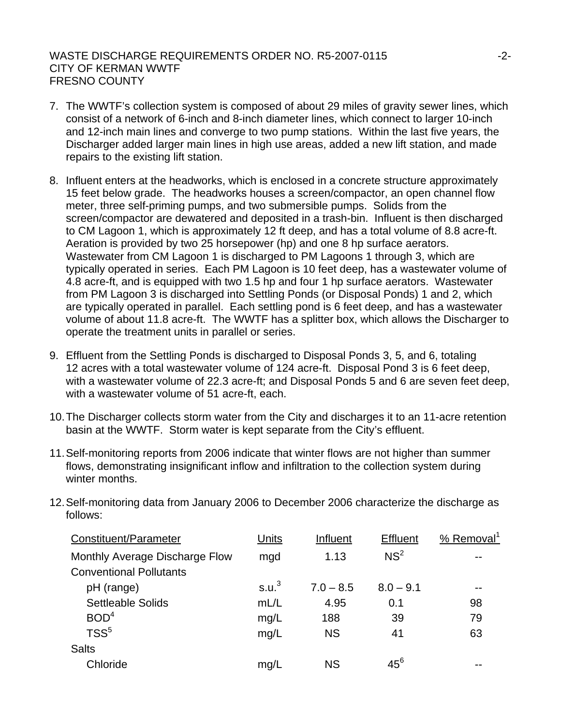- 7. The WWTF's collection system is composed of about 29 miles of gravity sewer lines, which consist of a network of 6-inch and 8-inch diameter lines, which connect to larger 10-inch and 12-inch main lines and converge to two pump stations. Within the last five years, the Discharger added larger main lines in high use areas, added a new lift station, and made repairs to the existing lift station.
- 8. Influent enters at the headworks, which is enclosed in a concrete structure approximately 15 feet below grade. The headworks houses a screen/compactor, an open channel flow meter, three self-priming pumps, and two submersible pumps. Solids from the screen/compactor are dewatered and deposited in a trash-bin. Influent is then discharged to CM Lagoon 1, which is approximately 12 ft deep, and has a total volume of 8.8 acre-ft. Aeration is provided by two 25 horsepower (hp) and one 8 hp surface aerators. Wastewater from CM Lagoon 1 is discharged to PM Lagoons 1 through 3, which are typically operated in series. Each PM Lagoon is 10 feet deep, has a wastewater volume of 4.8 acre-ft, and is equipped with two 1.5 hp and four 1 hp surface aerators. Wastewater from PM Lagoon 3 is discharged into Settling Ponds (or Disposal Ponds) 1 and 2, which are typically operated in parallel. Each settling pond is 6 feet deep, and has a wastewater volume of about 11.8 acre-ft. The WWTF has a splitter box, which allows the Discharger to operate the treatment units in parallel or series.
- 9. Effluent from the Settling Ponds is discharged to Disposal Ponds 3, 5, and 6, totaling 12 acres with a total wastewater volume of 124 acre-ft. Disposal Pond 3 is 6 feet deep, with a wastewater volume of 22.3 acre-ft; and Disposal Ponds 5 and 6 are seven feet deep, with a wastewater volume of 51 acre-ft, each.
- 10. The Discharger collects storm water from the City and discharges it to an 11-acre retention basin at the WWTF. Storm water is kept separate from the City's effluent.
- 11. Self-monitoring reports from 2006 indicate that winter flows are not higher than summer flows, demonstrating insignificant inflow and infiltration to the collection system during winter months.

| Units             | Influent    | <b>Effluent</b> | % Removal |
|-------------------|-------------|-----------------|-----------|
| mgd               | 1.13        | NS <sup>2</sup> |           |
| S.u. <sup>3</sup> | $7.0 - 8.5$ | $8.0 - 9.1$     |           |
| mL/L              | 4.95        | 0.1             | 98        |
| mg/L              | 188         | 39              | 79        |
| mg/L              | <b>NS</b>   | 41              | 63        |
|                   |             |                 |           |
| mg/L              | <b>NS</b>   | $45^6$          |           |
|                   |             |                 |           |

12. Self-monitoring data from January 2006 to December 2006 characterize the discharge as follows: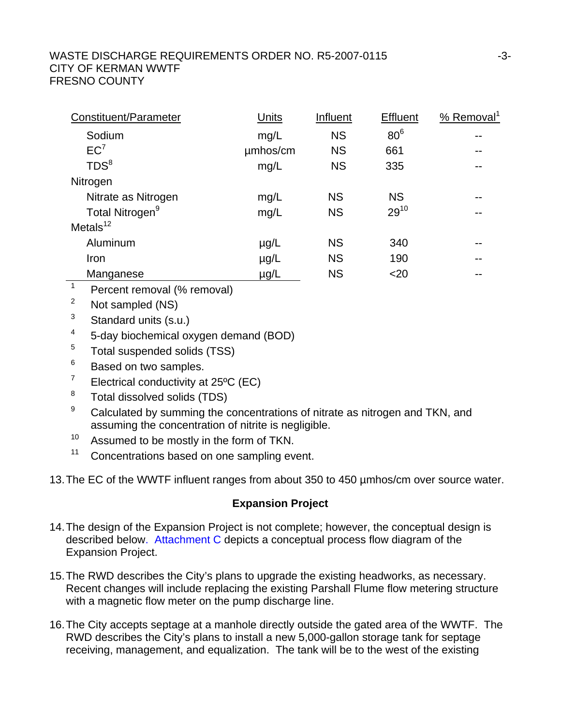| Constituent/Parameter       | Units     | Influent  | <b>Effluent</b> | % Removal <sup>1</sup> |
|-----------------------------|-----------|-----------|-----------------|------------------------|
| Sodium                      | mg/L      | <b>NS</b> | 80 <sup>6</sup> | --                     |
| EC <sup>7</sup>             | umhos/cm  | <b>NS</b> | 661             | --                     |
| TDS <sup>8</sup>            | mg/L      | <b>NS</b> | 335             |                        |
| Nitrogen                    |           |           |                 |                        |
| Nitrate as Nitrogen         | mg/L      | <b>NS</b> | <b>NS</b>       | --                     |
| Total Nitrogen <sup>9</sup> | mg/L      | <b>NS</b> | $29^{10}$       | --                     |
| Metals $12$                 |           |           |                 |                        |
| Aluminum                    | $\mu$ g/L | <b>NS</b> | 340             | --                     |
| Iron                        | $\mu$ g/L | <b>NS</b> | 190             |                        |
| Manganese                   | µg/L      | <b>NS</b> | $20$            |                        |
|                             |           |           |                 |                        |

 $1$  Percent removal (% removal)

2 Not sampled (NS)

 $3$  Standard units (s.u.)

4 5-day biochemical oxygen demand (BOD)

<sup>5</sup> Total suspended solids (TSS)

6 Based on two samples.

7 Electrical conductivity at 25ºC (EC)

8 Total dissolved solids (TDS)

9 Calculated by summing the concentrations of nitrate as nitrogen and TKN, and assuming the concentration of nitrite is negligible.

 $10$  Assumed to be mostly in the form of TKN.

<sup>11</sup> Concentrations based on one sampling event.

13. The EC of the WWTF influent ranges from about 350 to 450 µmhos/cm over source water.

# **Expansion Project**

- 14. The design of the Expansion Project is not complete; however, the conceptual design is described below. Attachment C depicts a conceptual process flow diagram of the Expansion Project.
- 15. The RWD describes the City's plans to upgrade the existing headworks, as necessary. Recent changes will include replacing the existing Parshall Flume flow metering structure with a magnetic flow meter on the pump discharge line.
- 16. The City accepts septage at a manhole directly outside the gated area of the WWTF. The RWD describes the City's plans to install a new 5,000-gallon storage tank for septage receiving, management, and equalization. The tank will be to the west of the existing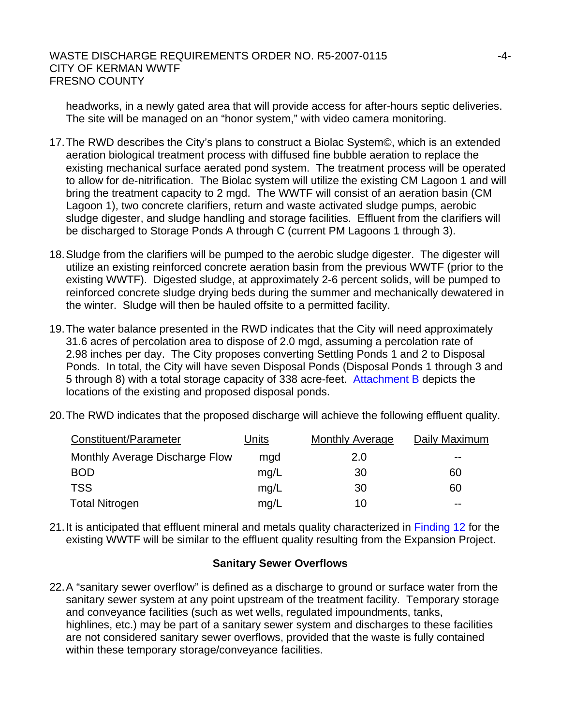headworks, in a newly gated area that will provide access for after-hours septic deliveries. The site will be managed on an "honor system," with video camera monitoring.

- 17. The RWD describes the City's plans to construct a Biolac System©, which is an extended aeration biological treatment process with diffused fine bubble aeration to replace the existing mechanical surface aerated pond system. The treatment process will be operated to allow for de-nitrification. The Biolac system will utilize the existing CM Lagoon 1 and will bring the treatment capacity to 2 mgd. The WWTF will consist of an aeration basin (CM Lagoon 1), two concrete clarifiers, return and waste activated sludge pumps, aerobic sludge digester, and sludge handling and storage facilities. Effluent from the clarifiers will be discharged to Storage Ponds A through C (current PM Lagoons 1 through 3).
- 18. Sludge from the clarifiers will be pumped to the aerobic sludge digester. The digester will utilize an existing reinforced concrete aeration basin from the previous WWTF (prior to the existing WWTF). Digested sludge, at approximately 2-6 percent solids, will be pumped to reinforced concrete sludge drying beds during the summer and mechanically dewatered in the winter. Sludge will then be hauled offsite to a permitted facility.
- 19. The water balance presented in the RWD indicates that the City will need approximately 31.6 acres of percolation area to dispose of 2.0 mgd, assuming a percolation rate of 2.98 inches per day. The City proposes converting Settling Ponds 1 and 2 to Disposal Ponds. In total, the City will have seven Disposal Ponds (Disposal Ponds 1 through 3 and 5 through 8) with a total storage capacity of 338 acre-feet. Attachment B depicts the locations of the existing and proposed disposal ponds.
- 20. The RWD indicates that the proposed discharge will achieve the following effluent quality.

| Constituent/Parameter          | Units | <b>Monthly Average</b> | Daily Maximum |
|--------------------------------|-------|------------------------|---------------|
| Monthly Average Discharge Flow | mgd   | 2.0                    | $- -$         |
| <b>BOD</b>                     | mq/L  | 30                     | 60            |
| <b>TSS</b>                     | mg/L  | 30                     | 60            |
| <b>Total Nitrogen</b>          | mg/L  | 10                     | --            |

21. It is anticipated that effluent mineral and metals quality characterized in Finding 12 for the existing WWTF will be similar to the effluent quality resulting from the Expansion Project.

#### **Sanitary Sewer Overflows**

22. A "sanitary sewer overflow" is defined as a discharge to ground or surface water from the sanitary sewer system at any point upstream of the treatment facility. Temporary storage and conveyance facilities (such as wet wells, regulated impoundments, tanks, highlines, etc.) may be part of a sanitary sewer system and discharges to these facilities are not considered sanitary sewer overflows, provided that the waste is fully contained within these temporary storage/conveyance facilities.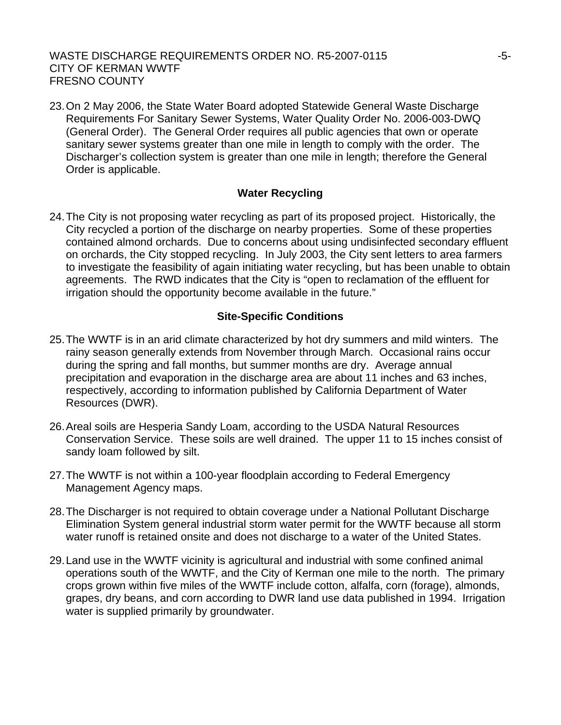23. On 2 May 2006, the State Water Board adopted Statewide General Waste Discharge Requirements For Sanitary Sewer Systems, Water Quality Order No. 2006-003-DWQ (General Order). The General Order requires all public agencies that own or operate sanitary sewer systems greater than one mile in length to comply with the order. The Discharger's collection system is greater than one mile in length; therefore the General Order is applicable.

#### **Water Recycling**

24. The City is not proposing water recycling as part of its proposed project. Historically, the City recycled a portion of the discharge on nearby properties. Some of these properties contained almond orchards. Due to concerns about using undisinfected secondary effluent on orchards, the City stopped recycling. In July 2003, the City sent letters to area farmers to investigate the feasibility of again initiating water recycling, but has been unable to obtain agreements. The RWD indicates that the City is "open to reclamation of the effluent for irrigation should the opportunity become available in the future."

## **Site-Specific Conditions**

- 25. The WWTF is in an arid climate characterized by hot dry summers and mild winters. The rainy season generally extends from November through March. Occasional rains occur during the spring and fall months, but summer months are dry. Average annual precipitation and evaporation in the discharge area are about 11 inches and 63 inches, respectively, according to information published by California Department of Water Resources (DWR).
- 26. Areal soils are Hesperia Sandy Loam, according to the USDA Natural Resources Conservation Service. These soils are well drained. The upper 11 to 15 inches consist of sandy loam followed by silt.
- 27. The WWTF is not within a 100-year floodplain according to Federal Emergency Management Agency maps.
- 28. The Discharger is not required to obtain coverage under a National Pollutant Discharge Elimination System general industrial storm water permit for the WWTF because all storm water runoff is retained onsite and does not discharge to a water of the United States.
- 29. Land use in the WWTF vicinity is agricultural and industrial with some confined animal operations south of the WWTF, and the City of Kerman one mile to the north. The primary crops grown within five miles of the WWTF include cotton, alfalfa, corn (forage), almonds, grapes, dry beans, and corn according to DWR land use data published in 1994. Irrigation water is supplied primarily by groundwater.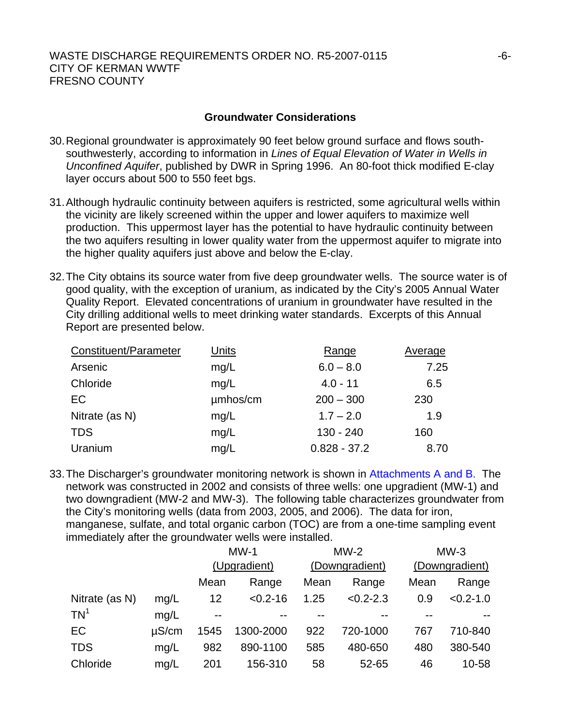#### **Groundwater Considerations**

- 30. Regional groundwater is approximately 90 feet below ground surface and flows southsouthwesterly, according to information in *Lines of Equal Elevation of Water in Wells in Unconfined Aquifer*, published by DWR in Spring 1996. An 80-foot thick modified E-clay layer occurs about 500 to 550 feet bgs.
- 31. Although hydraulic continuity between aquifers is restricted, some agricultural wells within the vicinity are likely screened within the upper and lower aquifers to maximize well production. This uppermost layer has the potential to have hydraulic continuity between the two aquifers resulting in lower quality water from the uppermost aquifer to migrate into the higher quality aquifers just above and below the E-clay.
- 32. The City obtains its source water from five deep groundwater wells. The source water is of good quality, with the exception of uranium, as indicated by the City's 2005 Annual Water Quality Report. Elevated concentrations of uranium in groundwater have resulted in the City drilling additional wells to meet drinking water standards. Excerpts of this Annual Report are presented below.

| Constituent/Parameter | <b>Units</b> | Range          | Average |
|-----------------------|--------------|----------------|---------|
| Arsenic               | mg/L         | $6.0 - 8.0$    | 7.25    |
| Chloride              | mg/L         | $4.0 - 11$     | 6.5     |
| EC                    | umhos/cm     | $200 - 300$    | 230     |
| Nitrate (as N)        | mg/L         | $1.7 - 2.0$    | 1.9     |
| <b>TDS</b>            | mg/L         | $130 - 240$    | 160     |
| Uranium               | mg/L         | $0.828 - 37.2$ | 8.70    |

33. The Discharger's groundwater monitoring network is shown in Attachments A and B. The network was constructed in 2002 and consists of three wells: one upgradient (MW-1) and two downgradient (MW-2 and MW-3). The following table characterizes groundwater from the City's monitoring wells (data from 2003, 2005, and 2006). The data for iron, manganese, sulfate, and total organic carbon (TOC) are from a one-time sampling event immediately after the groundwater wells were installed.

|                 |            |       | $MW-1$       |      | $MW-2$         |      | $MW-3$         |  |
|-----------------|------------|-------|--------------|------|----------------|------|----------------|--|
|                 |            |       | (Upgradient) |      | (Downgradient) |      | (Downgradient) |  |
|                 |            | Mean  | Range        | Mean | Range          | Mean | Range          |  |
| Nitrate (as N)  | mg/L       | 12    | $< 0.2 - 16$ | 1.25 | $< 0.2 - 2.3$  | 0.9  | $< 0.2 - 1.0$  |  |
| TN <sup>1</sup> | mq/L       | $- -$ |              |      |                |      |                |  |
| EC              | $\mu$ S/cm | 1545  | 1300-2000    | 922  | 720-1000       | 767  | 710-840        |  |
| <b>TDS</b>      | mq/L       | 982   | 890-1100     | 585  | 480-650        | 480  | 380-540        |  |
| Chloride        | mg/L       | 201   | 156-310      | 58   | 52-65          | 46   | 10-58          |  |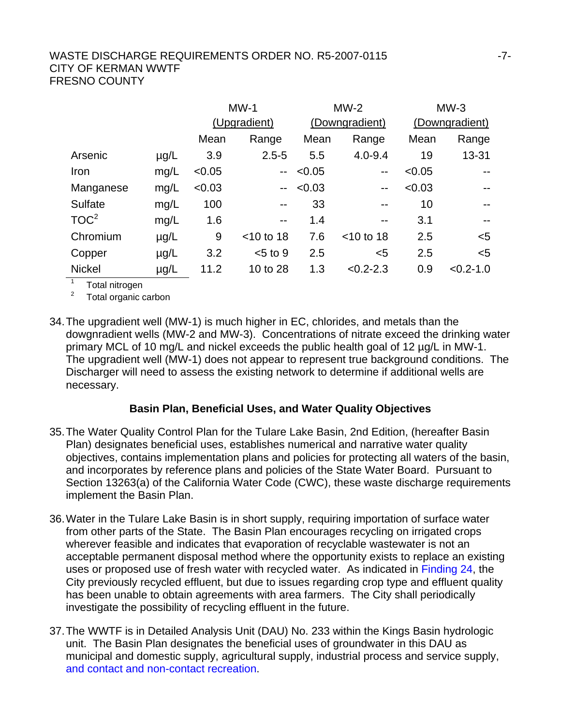|                  |           | $MW-1$ |                | $MW-2$         |                          | $MW-3$         |               |
|------------------|-----------|--------|----------------|----------------|--------------------------|----------------|---------------|
|                  |           |        | (Upgradient)   | (Downgradient) |                          | (Downgradient) |               |
|                  |           | Mean   | Range          | Mean           | Range                    | Mean           | Range         |
| Arsenic          | $\mu$ g/L | 3.9    | $2.5 - 5$      | 5.5            | $4.0 - 9.4$              | 19             | 13-31         |
| Iron             | mg/L      | < 0.05 | $-$            | < 0.05         | $\overline{\phantom{m}}$ | < 0.05         | $-$           |
| Manganese        | mg/L      | < 0.03 | $\overline{a}$ | < 0.03         | $-$                      | < 0.03         | $-$           |
| Sulfate          | mg/L      | 100    | $-$            | 33             |                          | 10             | $-$           |
| TOC <sup>2</sup> | mg/L      | 1.6    | $- -$          | 1.4            | $- -$                    | 3.1            | $- -$         |
| Chromium         | $\mu$ g/L | 9      | $<$ 10 to 18   | 7.6            | $<$ 10 to 18             | 2.5            | $<$ 5         |
| Copper           | $\mu$ g/L | 3.2    | $< 5$ to 9     | 2.5            | $5$                      | 2.5            | $5$           |
| <b>Nickel</b>    | $\mu$ g/L | 11.2   | 10 to 28       | 1.3            | $< 0.2 - 2.3$            | 0.9            | $< 0.2 - 1.0$ |
|                  |           |        |                |                |                          |                |               |

<sup>1</sup> Total nitrogen

<sup>2</sup> Total organic carbon

34. The upgradient well (MW-1) is much higher in EC, chlorides, and metals than the dowgnradient wells (MW-2 and MW-3). Concentrations of nitrate exceed the drinking water primary MCL of 10 mg/L and nickel exceeds the public health goal of 12 µg/L in MW-1. The upgradient well (MW-1) does not appear to represent true background conditions. The Discharger will need to assess the existing network to determine if additional wells are necessary.

## **Basin Plan, Beneficial Uses, and Water Quality Objectives**

- 35. The Water Quality Control Plan for the Tulare Lake Basin, 2nd Edition, (hereafter Basin Plan) designates beneficial uses, establishes numerical and narrative water quality objectives, contains implementation plans and policies for protecting all waters of the basin, and incorporates by reference plans and policies of the State Water Board. Pursuant to Section 13263(a) of the California Water Code (CWC), these waste discharge requirements implement the Basin Plan.
- 36. Water in the Tulare Lake Basin is in short supply, requiring importation of surface water from other parts of the State. The Basin Plan encourages recycling on irrigated crops wherever feasible and indicates that evaporation of recyclable wastewater is not an acceptable permanent disposal method where the opportunity exists to replace an existing uses or proposed use of fresh water with recycled water. As indicated in Finding 24, the City previously recycled effluent, but due to issues regarding crop type and effluent quality has been unable to obtain agreements with area farmers. The City shall periodically investigate the possibility of recycling effluent in the future.
- 37. The WWTF is in Detailed Analysis Unit (DAU) No. 233 within the Kings Basin hydrologic unit. The Basin Plan designates the beneficial uses of groundwater in this DAU as municipal and domestic supply, agricultural supply, industrial process and service supply, and contact and non-contact recreation.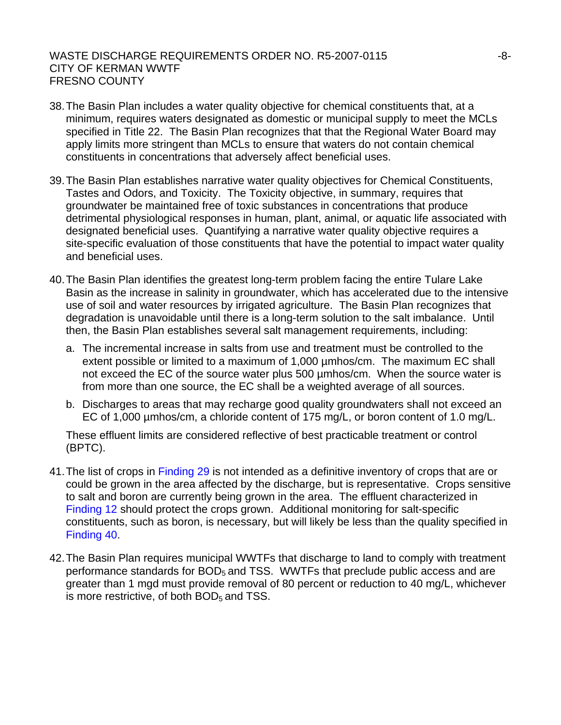- 38. The Basin Plan includes a water quality objective for chemical constituents that, at a minimum, requires waters designated as domestic or municipal supply to meet the MCLs specified in Title 22. The Basin Plan recognizes that that the Regional Water Board may apply limits more stringent than MCLs to ensure that waters do not contain chemical constituents in concentrations that adversely affect beneficial uses.
- 39. The Basin Plan establishes narrative water quality objectives for Chemical Constituents, Tastes and Odors, and Toxicity. The Toxicity objective, in summary, requires that groundwater be maintained free of toxic substances in concentrations that produce detrimental physiological responses in human, plant, animal, or aquatic life associated with designated beneficial uses. Quantifying a narrative water quality objective requires a site-specific evaluation of those constituents that have the potential to impact water quality and beneficial uses.
- 40. The Basin Plan identifies the greatest long-term problem facing the entire Tulare Lake Basin as the increase in salinity in groundwater, which has accelerated due to the intensive use of soil and water resources by irrigated agriculture. The Basin Plan recognizes that degradation is unavoidable until there is a long-term solution to the salt imbalance. Until then, the Basin Plan establishes several salt management requirements, including:
	- a. The incremental increase in salts from use and treatment must be controlled to the extent possible or limited to a maximum of 1,000 µmhos/cm. The maximum EC shall not exceed the EC of the source water plus 500 µmhos/cm. When the source water is from more than one source, the EC shall be a weighted average of all sources.
	- b. Discharges to areas that may recharge good quality groundwaters shall not exceed an EC of 1,000 µmhos/cm, a chloride content of 175 mg/L, or boron content of 1.0 mg/L.

These effluent limits are considered reflective of best practicable treatment or control (BPTC).

- 41. The list of crops in Finding 29 is not intended as a definitive inventory of crops that are or could be grown in the area affected by the discharge, but is representative. Crops sensitive to salt and boron are currently being grown in the area. The effluent characterized in Finding 12 should protect the crops grown. Additional monitoring for salt-specific constituents, such as boron, is necessary, but will likely be less than the quality specified in Finding 40.
- 42. The Basin Plan requires municipal WWTFs that discharge to land to comply with treatment performance standards for  $BOD<sub>5</sub>$  and TSS. WWTFs that preclude public access and are greater than 1 mgd must provide removal of 80 percent or reduction to 40 mg/L, whichever is more restrictive, of both  $BOD<sub>5</sub>$  and TSS.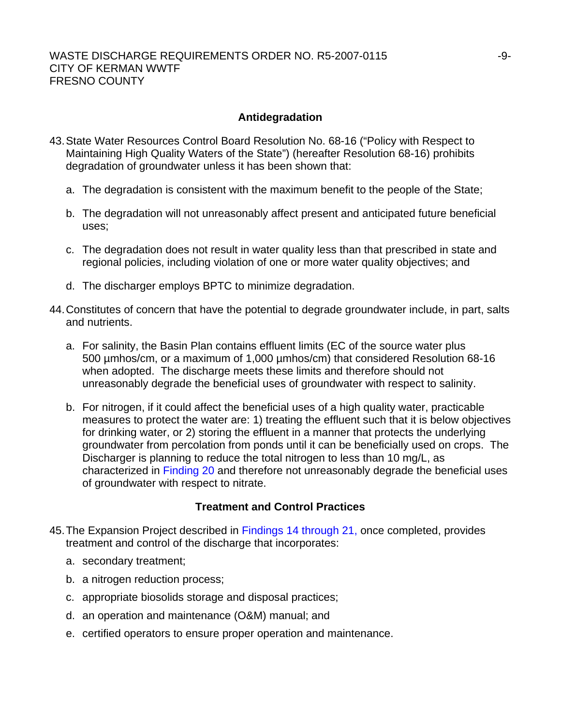#### **Antidegradation**

- 43. State Water Resources Control Board Resolution No. 68-16 ("Policy with Respect to Maintaining High Quality Waters of the State") (hereafter Resolution 68-16) prohibits degradation of groundwater unless it has been shown that:
	- a. The degradation is consistent with the maximum benefit to the people of the State;
	- b. The degradation will not unreasonably affect present and anticipated future beneficial uses;
	- c. The degradation does not result in water quality less than that prescribed in state and regional policies, including violation of one or more water quality objectives; and
	- d. The discharger employs BPTC to minimize degradation.
- 44. Constitutes of concern that have the potential to degrade groundwater include, in part, salts and nutrients.
	- a. For salinity, the Basin Plan contains effluent limits (EC of the source water plus 500 µmhos/cm, or a maximum of 1,000 µmhos/cm) that considered Resolution 68-16 when adopted. The discharge meets these limits and therefore should not unreasonably degrade the beneficial uses of groundwater with respect to salinity.
	- b. For nitrogen, if it could affect the beneficial uses of a high quality water, practicable measures to protect the water are: 1) treating the effluent such that it is below objectives for drinking water, or 2) storing the effluent in a manner that protects the underlying groundwater from percolation from ponds until it can be beneficially used on crops. The Discharger is planning to reduce the total nitrogen to less than 10 mg/L, as characterized in Finding 20 and therefore not unreasonably degrade the beneficial uses of groundwater with respect to nitrate.

## **Treatment and Control Practices**

- 45. The Expansion Project described in Findings 14 through 21, once completed, provides treatment and control of the discharge that incorporates:
	- a. secondary treatment;
	- b. a nitrogen reduction process;
	- c. appropriate biosolids storage and disposal practices;
	- d. an operation and maintenance (O&M) manual; and
	- e. certified operators to ensure proper operation and maintenance.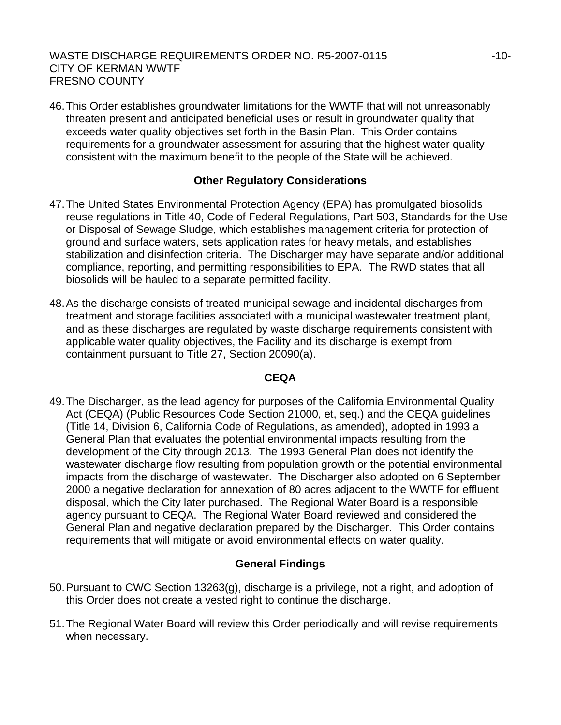46. This Order establishes groundwater limitations for the WWTF that will not unreasonably threaten present and anticipated beneficial uses or result in groundwater quality that exceeds water quality objectives set forth in the Basin Plan. This Order contains requirements for a groundwater assessment for assuring that the highest water quality consistent with the maximum benefit to the people of the State will be achieved.

# **Other Regulatory Considerations**

- 47. The United States Environmental Protection Agency (EPA) has promulgated biosolids reuse regulations in Title 40, Code of Federal Regulations, Part 503, Standards for the Use or Disposal of Sewage Sludge, which establishes management criteria for protection of ground and surface waters, sets application rates for heavy metals, and establishes stabilization and disinfection criteria. The Discharger may have separate and/or additional compliance, reporting, and permitting responsibilities to EPA. The RWD states that all biosolids will be hauled to a separate permitted facility.
- 48. As the discharge consists of treated municipal sewage and incidental discharges from treatment and storage facilities associated with a municipal wastewater treatment plant, and as these discharges are regulated by waste discharge requirements consistent with applicable water quality objectives, the Facility and its discharge is exempt from containment pursuant to Title 27, Section 20090(a).

## **CEQA**

49. The Discharger, as the lead agency for purposes of the California Environmental Quality Act (CEQA) (Public Resources Code Section 21000, et, seq.) and the CEQA guidelines (Title 14, Division 6, California Code of Regulations, as amended), adopted in 1993 a General Plan that evaluates the potential environmental impacts resulting from the development of the City through 2013. The 1993 General Plan does not identify the wastewater discharge flow resulting from population growth or the potential environmental impacts from the discharge of wastewater. The Discharger also adopted on 6 September 2000 a negative declaration for annexation of 80 acres adjacent to the WWTF for effluent disposal, which the City later purchased. The Regional Water Board is a responsible agency pursuant to CEQA. The Regional Water Board reviewed and considered the General Plan and negative declaration prepared by the Discharger. This Order contains requirements that will mitigate or avoid environmental effects on water quality.

# **General Findings**

- 50. Pursuant to CWC Section 13263(g), discharge is a privilege, not a right, and adoption of this Order does not create a vested right to continue the discharge.
- 51. The Regional Water Board will review this Order periodically and will revise requirements when necessary.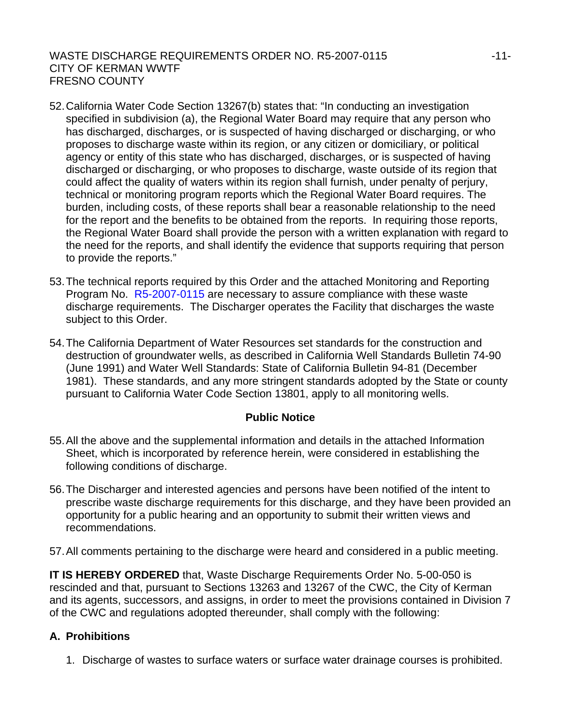- 52. California Water Code Section 13267(b) states that: "In conducting an investigation specified in subdivision (a), the Regional Water Board may require that any person who has discharged, discharges, or is suspected of having discharged or discharging, or who proposes to discharge waste within its region, or any citizen or domiciliary, or political agency or entity of this state who has discharged, discharges, or is suspected of having discharged or discharging, or who proposes to discharge, waste outside of its region that could affect the quality of waters within its region shall furnish, under penalty of perjury, technical or monitoring program reports which the Regional Water Board requires. The burden, including costs, of these reports shall bear a reasonable relationship to the need for the report and the benefits to be obtained from the reports. In requiring those reports, the Regional Water Board shall provide the person with a written explanation with regard to the need for the reports, and shall identify the evidence that supports requiring that person to provide the reports."
- 53. The technical reports required by this Order and the attached Monitoring and Reporting Program No. R5-2007-0115 are necessary to assure compliance with these waste discharge requirements. The Discharger operates the Facility that discharges the waste subject to this Order.
- 54. The California Department of Water Resources set standards for the construction and destruction of groundwater wells, as described in California Well Standards Bulletin 74-90 (June 1991) and Water Well Standards: State of California Bulletin 94-81 (December 1981). These standards, and any more stringent standards adopted by the State or county pursuant to California Water Code Section 13801, apply to all monitoring wells.

## **Public Notice**

- 55. All the above and the supplemental information and details in the attached Information Sheet, which is incorporated by reference herein, were considered in establishing the following conditions of discharge.
- 56. The Discharger and interested agencies and persons have been notified of the intent to prescribe waste discharge requirements for this discharge, and they have been provided an opportunity for a public hearing and an opportunity to submit their written views and recommendations.
- 57. All comments pertaining to the discharge were heard and considered in a public meeting.

**IT IS HEREBY ORDERED** that, Waste Discharge Requirements Order No. 5-00-050 is rescinded and that, pursuant to Sections 13263 and 13267 of the CWC, the City of Kerman and its agents, successors, and assigns, in order to meet the provisions contained in Division 7 of the CWC and regulations adopted thereunder, shall comply with the following:

## **A. Prohibitions**

1. Discharge of wastes to surface waters or surface water drainage courses is prohibited.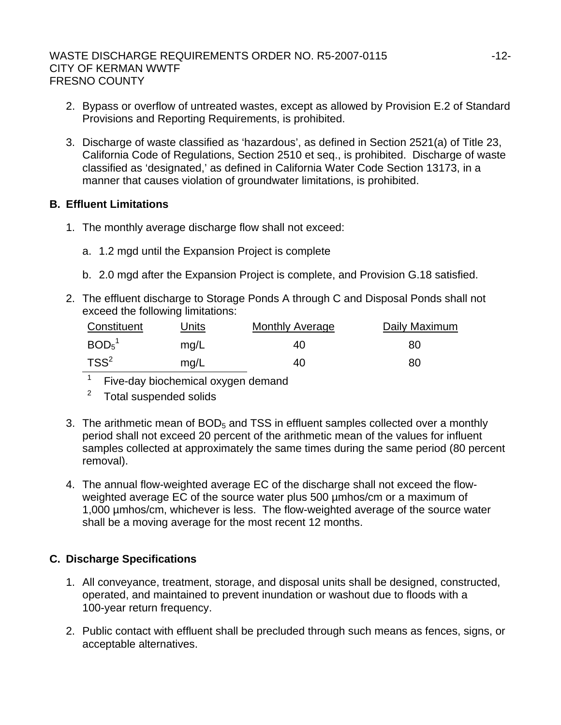- 2. Bypass or overflow of untreated wastes, except as allowed by Provision E.2 of Standard Provisions and Reporting Requirements, is prohibited.
- 3. Discharge of waste classified as 'hazardous', as defined in Section 2521(a) of Title 23, California Code of Regulations, Section 2510 et seq., is prohibited. Discharge of waste classified as 'designated,' as defined in California Water Code Section 13173, in a manner that causes violation of groundwater limitations, is prohibited.

# **B. Effluent Limitations**

- 1. The monthly average discharge flow shall not exceed:
	- a. 1.2 mgd until the Expansion Project is complete
	- b. 2.0 mgd after the Expansion Project is complete, and Provision G.18 satisfied.
- 2. The effluent discharge to Storage Ponds A through C and Disposal Ponds shall not exceed the following limitations:

| Constituent                   | Units | <b>Monthly Average</b> | Daily Maximum |
|-------------------------------|-------|------------------------|---------------|
| BOD <sub>5</sub> <sup>1</sup> | mq/L  | 40                     | 80            |
| $TSS^2$                       | mg/L  | 40                     | 80            |

 $\overline{1}$ Five-day biochemical oxygen demand

- $2$  Total suspended solids
- 3. The arithmetic mean of  $BOD<sub>5</sub>$  and TSS in effluent samples collected over a monthly period shall not exceed 20 percent of the arithmetic mean of the values for influent samples collected at approximately the same times during the same period (80 percent removal).
- 4. The annual flow-weighted average EC of the discharge shall not exceed the flowweighted average EC of the source water plus 500 µmhos/cm or a maximum of 1,000 µmhos/cm, whichever is less. The flow-weighted average of the source water shall be a moving average for the most recent 12 months.

# **C. Discharge Specifications**

- 1. All conveyance, treatment, storage, and disposal units shall be designed, constructed, operated, and maintained to prevent inundation or washout due to floods with a 100-year return frequency.
- 2. Public contact with effluent shall be precluded through such means as fences, signs, or acceptable alternatives.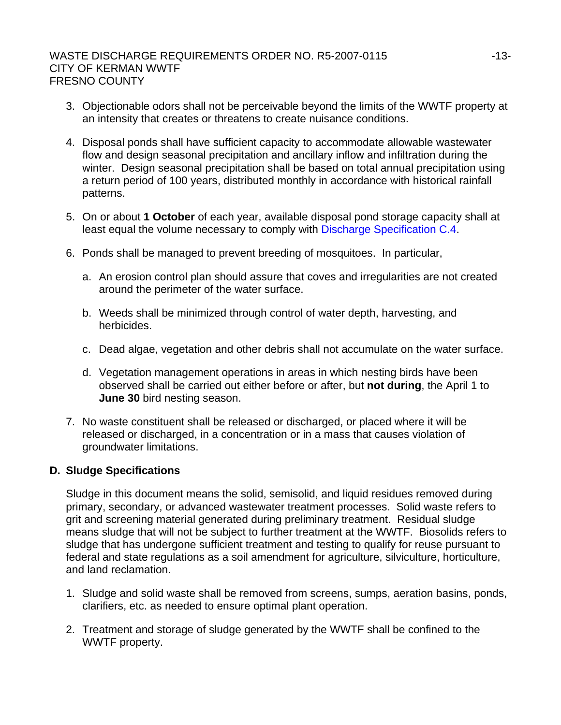- 3. Objectionable odors shall not be perceivable beyond the limits of the WWTF property at an intensity that creates or threatens to create nuisance conditions.
- 4. Disposal ponds shall have sufficient capacity to accommodate allowable wastewater flow and design seasonal precipitation and ancillary inflow and infiltration during the winter. Design seasonal precipitation shall be based on total annual precipitation using a return period of 100 years, distributed monthly in accordance with historical rainfall patterns.
- 5. On or about **1 October** of each year, available disposal pond storage capacity shall at least equal the volume necessary to comply with Discharge Specification C.4.
- 6. Ponds shall be managed to prevent breeding of mosquitoes. In particular,
	- a. An erosion control plan should assure that coves and irregularities are not created around the perimeter of the water surface.
	- b. Weeds shall be minimized through control of water depth, harvesting, and herbicides.
	- c. Dead algae, vegetation and other debris shall not accumulate on the water surface.
	- d. Vegetation management operations in areas in which nesting birds have been observed shall be carried out either before or after, but **not during**, the April 1 to **June 30** bird nesting season.
- 7. No waste constituent shall be released or discharged, or placed where it will be released or discharged, in a concentration or in a mass that causes violation of groundwater limitations.

# **D. Sludge Specifications**

Sludge in this document means the solid, semisolid, and liquid residues removed during primary, secondary, or advanced wastewater treatment processes. Solid waste refers to grit and screening material generated during preliminary treatment. Residual sludge means sludge that will not be subject to further treatment at the WWTF. Biosolids refers to sludge that has undergone sufficient treatment and testing to qualify for reuse pursuant to federal and state regulations as a soil amendment for agriculture, silviculture, horticulture, and land reclamation.

- 1. Sludge and solid waste shall be removed from screens, sumps, aeration basins, ponds, clarifiers, etc. as needed to ensure optimal plant operation.
- 2. Treatment and storage of sludge generated by the WWTF shall be confined to the WWTF property.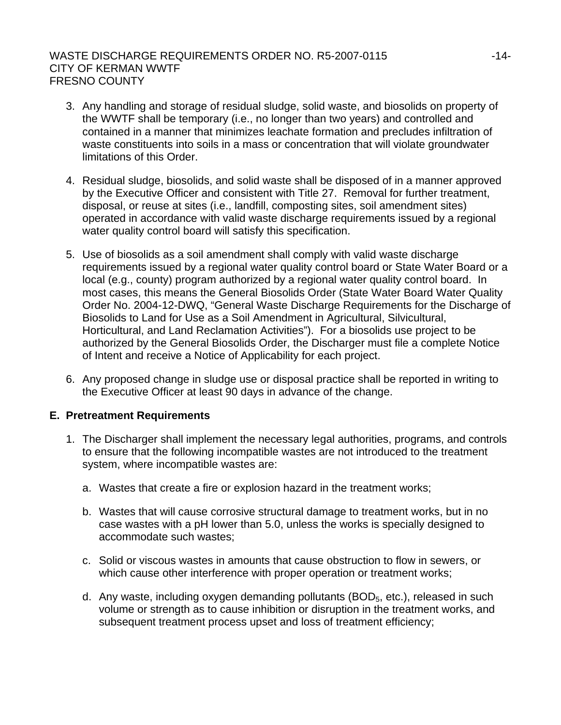# WASTE DISCHARGE REQUIREMENTS ORDER NO. R5-2007-0115 ----------------------------CITY OF KERMAN WWTF FRESNO COUNTY

- 3. Any handling and storage of residual sludge, solid waste, and biosolids on property of the WWTF shall be temporary (i.e., no longer than two years) and controlled and contained in a manner that minimizes leachate formation and precludes infiltration of waste constituents into soils in a mass or concentration that will violate groundwater limitations of this Order.
- 4. Residual sludge, biosolids, and solid waste shall be disposed of in a manner approved by the Executive Officer and consistent with Title 27. Removal for further treatment, disposal, or reuse at sites (i.e., landfill, composting sites, soil amendment sites) operated in accordance with valid waste discharge requirements issued by a regional water quality control board will satisfy this specification.
- 5. Use of biosolids as a soil amendment shall comply with valid waste discharge requirements issued by a regional water quality control board or State Water Board or a local (e.g., county) program authorized by a regional water quality control board. In most cases, this means the General Biosolids Order (State Water Board Water Quality Order No. 2004-12-DWQ, "General Waste Discharge Requirements for the Discharge of Biosolids to Land for Use as a Soil Amendment in Agricultural, Silvicultural, Horticultural, and Land Reclamation Activities"). For a biosolids use project to be authorized by the General Biosolids Order, the Discharger must file a complete Notice of Intent and receive a Notice of Applicability for each project.
- 6. Any proposed change in sludge use or disposal practice shall be reported in writing to the Executive Officer at least 90 days in advance of the change.

## **E. Pretreatment Requirements**

- 1. The Discharger shall implement the necessary legal authorities, programs, and controls to ensure that the following incompatible wastes are not introduced to the treatment system, where incompatible wastes are:
	- a. Wastes that create a fire or explosion hazard in the treatment works;
	- b. Wastes that will cause corrosive structural damage to treatment works, but in no case wastes with a pH lower than 5.0, unless the works is specially designed to accommodate such wastes;
	- c. Solid or viscous wastes in amounts that cause obstruction to flow in sewers, or which cause other interference with proper operation or treatment works;
	- d. Any waste, including oxygen demanding pollutants ( $BOD<sub>5</sub>$ , etc.), released in such volume or strength as to cause inhibition or disruption in the treatment works, and subsequent treatment process upset and loss of treatment efficiency;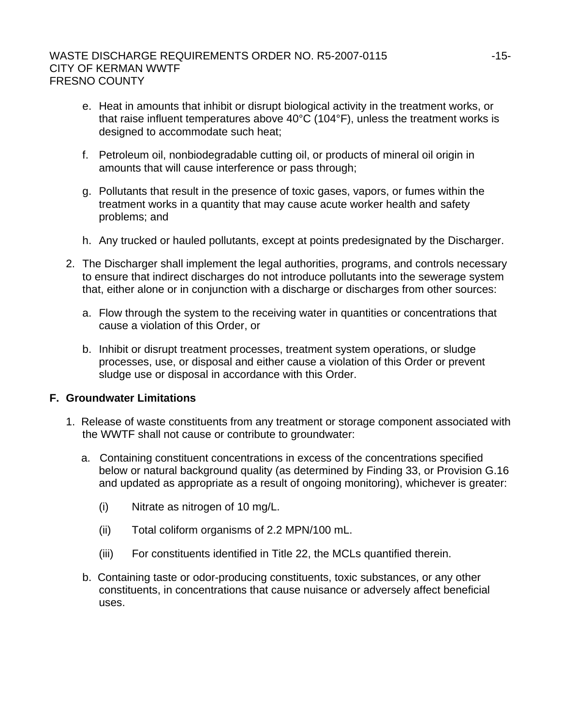- e. Heat in amounts that inhibit or disrupt biological activity in the treatment works, or that raise influent temperatures above 40°C (104°F), unless the treatment works is designed to accommodate such heat;
- f. Petroleum oil, nonbiodegradable cutting oil, or products of mineral oil origin in amounts that will cause interference or pass through;
- g. Pollutants that result in the presence of toxic gases, vapors, or fumes within the treatment works in a quantity that may cause acute worker health and safety problems; and
- h. Any trucked or hauled pollutants, except at points predesignated by the Discharger.
- 2. The Discharger shall implement the legal authorities, programs, and controls necessary to ensure that indirect discharges do not introduce pollutants into the sewerage system that, either alone or in conjunction with a discharge or discharges from other sources:
	- a. Flow through the system to the receiving water in quantities or concentrations that cause a violation of this Order, or
	- b. Inhibit or disrupt treatment processes, treatment system operations, or sludge processes, use, or disposal and either cause a violation of this Order or prevent sludge use or disposal in accordance with this Order.

## **F. Groundwater Limitations**

- 1. Release of waste constituents from any treatment or storage component associated with the WWTF shall not cause or contribute to groundwater:
	- a. Containing constituent concentrations in excess of the concentrations specified below or natural background quality (as determined by Finding 33, or Provision G.16 and updated as appropriate as a result of ongoing monitoring), whichever is greater:
		- (i) Nitrate as nitrogen of 10 mg/L.
		- (ii) Total coliform organisms of 2.2 MPN/100 mL.
		- (iii) For constituents identified in Title 22, the MCLs quantified therein.
	- b. Containing taste or odor-producing constituents, toxic substances, or any other constituents, in concentrations that cause nuisance or adversely affect beneficial uses.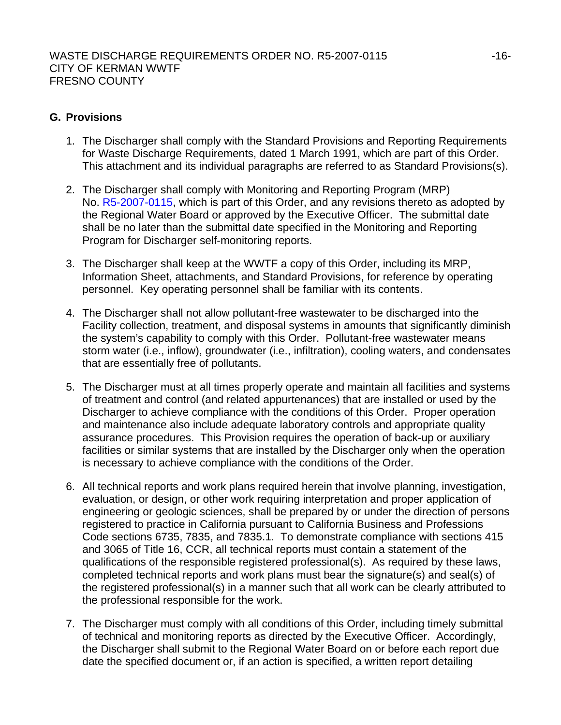# **G. Provisions**

- 1. The Discharger shall comply with the Standard Provisions and Reporting Requirements for Waste Discharge Requirements, dated 1 March 1991, which are part of this Order. This attachment and its individual paragraphs are referred to as Standard Provisions(s).
- 2. The Discharger shall comply with Monitoring and Reporting Program (MRP) No. R5-2007-0115, which is part of this Order, and any revisions thereto as adopted by the Regional Water Board or approved by the Executive Officer. The submittal date shall be no later than the submittal date specified in the Monitoring and Reporting Program for Discharger self-monitoring reports.
- 3. The Discharger shall keep at the WWTF a copy of this Order, including its MRP, Information Sheet, attachments, and Standard Provisions, for reference by operating personnel. Key operating personnel shall be familiar with its contents.
- 4. The Discharger shall not allow pollutant-free wastewater to be discharged into the Facility collection, treatment, and disposal systems in amounts that significantly diminish the system's capability to comply with this Order. Pollutant-free wastewater means storm water (i.e., inflow), groundwater (i.e., infiltration), cooling waters, and condensates that are essentially free of pollutants.
- 5. The Discharger must at all times properly operate and maintain all facilities and systems of treatment and control (and related appurtenances) that are installed or used by the Discharger to achieve compliance with the conditions of this Order. Proper operation and maintenance also include adequate laboratory controls and appropriate quality assurance procedures. This Provision requires the operation of back-up or auxiliary facilities or similar systems that are installed by the Discharger only when the operation is necessary to achieve compliance with the conditions of the Order.
- 6. All technical reports and work plans required herein that involve planning, investigation, evaluation, or design, or other work requiring interpretation and proper application of engineering or geologic sciences, shall be prepared by or under the direction of persons registered to practice in California pursuant to California Business and Professions Code sections 6735, 7835, and 7835.1. To demonstrate compliance with sections 415 and 3065 of Title 16, CCR, all technical reports must contain a statement of the qualifications of the responsible registered professional(s). As required by these laws, completed technical reports and work plans must bear the signature(s) and seal(s) of the registered professional(s) in a manner such that all work can be clearly attributed to the professional responsible for the work.
- 7. The Discharger must comply with all conditions of this Order, including timely submittal of technical and monitoring reports as directed by the Executive Officer. Accordingly, the Discharger shall submit to the Regional Water Board on or before each report due date the specified document or, if an action is specified, a written report detailing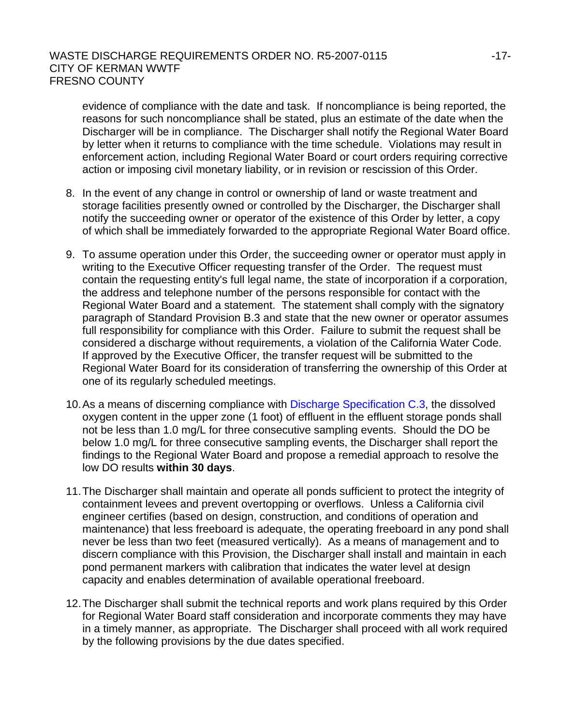evidence of compliance with the date and task. If noncompliance is being reported, the reasons for such noncompliance shall be stated, plus an estimate of the date when the Discharger will be in compliance. The Discharger shall notify the Regional Water Board by letter when it returns to compliance with the time schedule. Violations may result in enforcement action, including Regional Water Board or court orders requiring corrective action or imposing civil monetary liability, or in revision or rescission of this Order.

- 8. In the event of any change in control or ownership of land or waste treatment and storage facilities presently owned or controlled by the Discharger, the Discharger shall notify the succeeding owner or operator of the existence of this Order by letter, a copy of which shall be immediately forwarded to the appropriate Regional Water Board office.
- 9. To assume operation under this Order, the succeeding owner or operator must apply in writing to the Executive Officer requesting transfer of the Order. The request must contain the requesting entity's full legal name, the state of incorporation if a corporation, the address and telephone number of the persons responsible for contact with the Regional Water Board and a statement. The statement shall comply with the signatory paragraph of Standard Provision B.3 and state that the new owner or operator assumes full responsibility for compliance with this Order. Failure to submit the request shall be considered a discharge without requirements, a violation of the California Water Code. If approved by the Executive Officer, the transfer request will be submitted to the Regional Water Board for its consideration of transferring the ownership of this Order at one of its regularly scheduled meetings.
- 10. As a means of discerning compliance with Discharge Specification C.3, the dissolved oxygen content in the upper zone (1 foot) of effluent in the effluent storage ponds shall not be less than 1.0 mg/L for three consecutive sampling events. Should the DO be below 1.0 mg/L for three consecutive sampling events, the Discharger shall report the findings to the Regional Water Board and propose a remedial approach to resolve the low DO results **within 30 days**.
- 11. The Discharger shall maintain and operate all ponds sufficient to protect the integrity of containment levees and prevent overtopping or overflows. Unless a California civil engineer certifies (based on design, construction, and conditions of operation and maintenance) that less freeboard is adequate, the operating freeboard in any pond shall never be less than two feet (measured vertically). As a means of management and to discern compliance with this Provision, the Discharger shall install and maintain in each pond permanent markers with calibration that indicates the water level at design capacity and enables determination of available operational freeboard.
- 12. The Discharger shall submit the technical reports and work plans required by this Order for Regional Water Board staff consideration and incorporate comments they may have in a timely manner, as appropriate. The Discharger shall proceed with all work required by the following provisions by the due dates specified.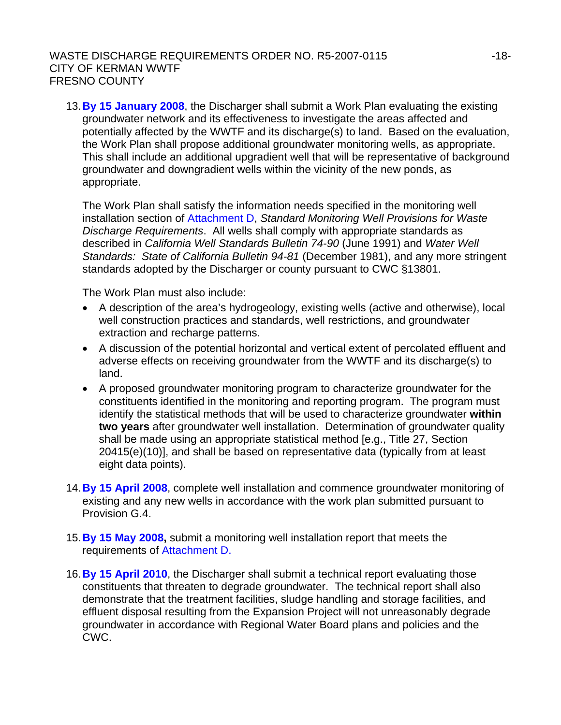## WASTE DISCHARGE REQUIREMENTS ORDER NO. R5-2007-0115 ----------------------------CITY OF KERMAN WWTF FRESNO COUNTY

13. **By 15 January 2008**, the Discharger shall submit a Work Plan evaluating the existing groundwater network and its effectiveness to investigate the areas affected and potentially affected by the WWTF and its discharge(s) to land. Based on the evaluation, the Work Plan shall propose additional groundwater monitoring wells, as appropriate. This shall include an additional upgradient well that will be representative of background groundwater and downgradient wells within the vicinity of the new ponds, as appropriate.

The Work Plan shall satisfy the information needs specified in the monitoring well installation section of Attachment D, *Standard Monitoring Well Provisions for Waste Discharge Requirements*. All wells shall comply with appropriate standards as described in *California Well Standards Bulletin 74-90* (June 1991) and *Water Well Standards: State of California Bulletin 94-81* (December 1981), and any more stringent standards adopted by the Discharger or county pursuant to CWC §13801.

The Work Plan must also include:

- A description of the area's hydrogeology, existing wells (active and otherwise), local well construction practices and standards, well restrictions, and groundwater extraction and recharge patterns.
- A discussion of the potential horizontal and vertical extent of percolated effluent and adverse effects on receiving groundwater from the WWTF and its discharge(s) to land.
- A proposed groundwater monitoring program to characterize groundwater for the constituents identified in the monitoring and reporting program. The program must identify the statistical methods that will be used to characterize groundwater **within two years** after groundwater well installation. Determination of groundwater quality shall be made using an appropriate statistical method [e.g., Title 27, Section 20415(e)(10)], and shall be based on representative data (typically from at least eight data points).
- 14. **By 15 April 2008**, complete well installation and commence groundwater monitoring of existing and any new wells in accordance with the work plan submitted pursuant to Provision G.4.
- 15. **By 15 May 2008,** submit a monitoring well installation report that meets the requirements of Attachment D.
- 16. **By 15 April 2010**, the Discharger shall submit a technical report evaluating those constituents that threaten to degrade groundwater. The technical report shall also demonstrate that the treatment facilities, sludge handling and storage facilities, and effluent disposal resulting from the Expansion Project will not unreasonably degrade groundwater in accordance with Regional Water Board plans and policies and the CWC.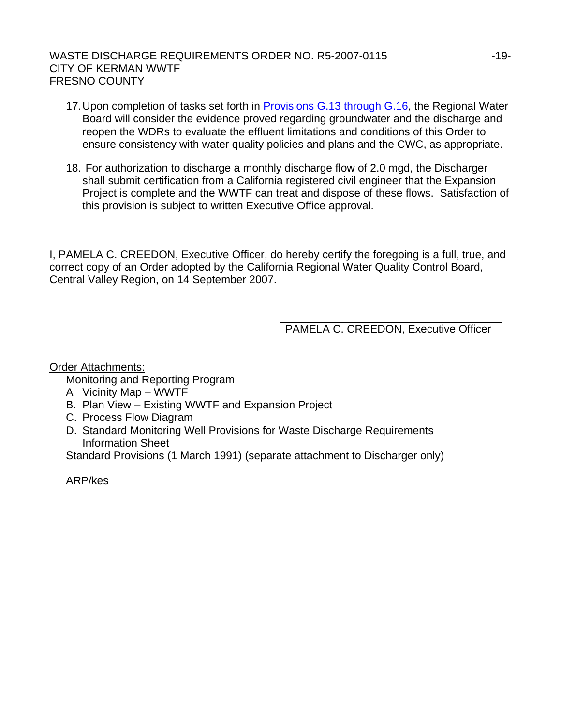# WASTE DISCHARGE REQUIREMENTS ORDER NO. R5-2007-0115 ----------------------------CITY OF KERMAN WWTF FRESNO COUNTY

- 17. Upon completion of tasks set forth in Provisions G.13 through G.16, the Regional Water Board will consider the evidence proved regarding groundwater and the discharge and reopen the WDRs to evaluate the effluent limitations and conditions of this Order to ensure consistency with water quality policies and plans and the CWC, as appropriate.
- 18. For authorization to discharge a monthly discharge flow of 2.0 mgd, the Discharger shall submit certification from a California registered civil engineer that the Expansion Project is complete and the WWTF can treat and dispose of these flows. Satisfaction of this provision is subject to written Executive Office approval.

I, PAMELA C. CREEDON, Executive Officer, do hereby certify the foregoing is a full, true, and correct copy of an Order adopted by the California Regional Water Quality Control Board, Central Valley Region, on 14 September 2007.

PAMELA C. CREEDON, Executive Officer

## Order Attachments:

Monitoring and Reporting Program

- A Vicinity Map WWTF
- B. Plan View Existing WWTF and Expansion Project
- C. Process Flow Diagram
- D. Standard Monitoring Well Provisions for Waste Discharge Requirements Information Sheet

Standard Provisions (1 March 1991) (separate attachment to Discharger only)

ARP/kes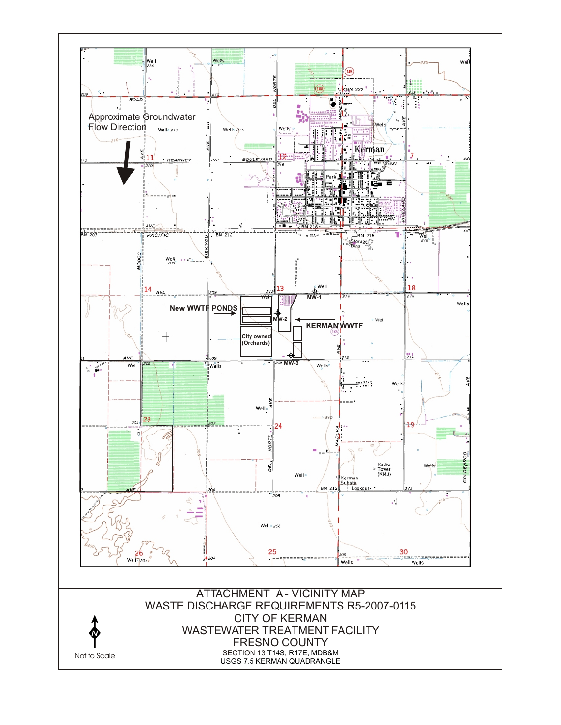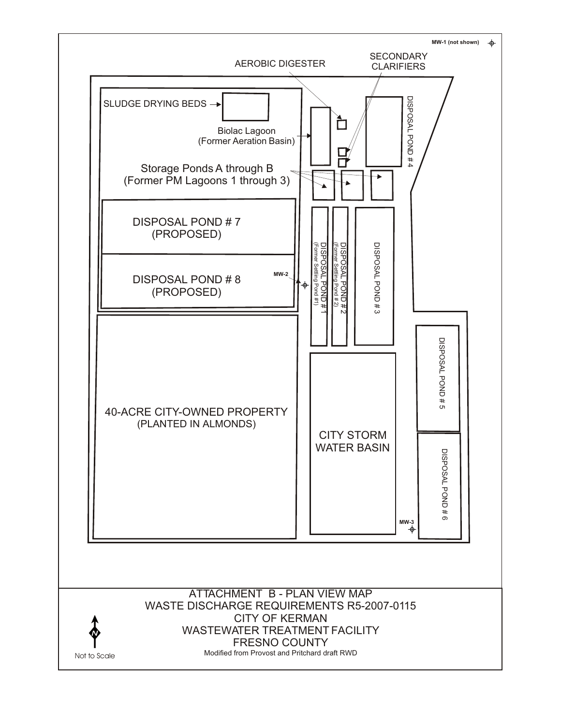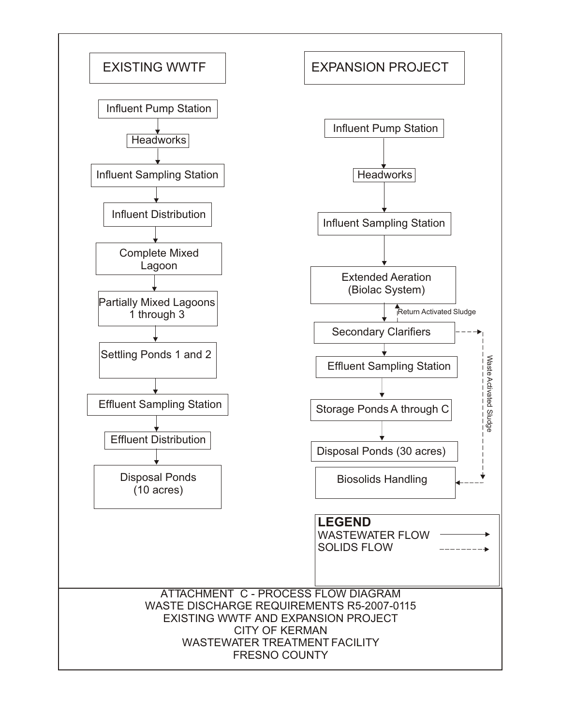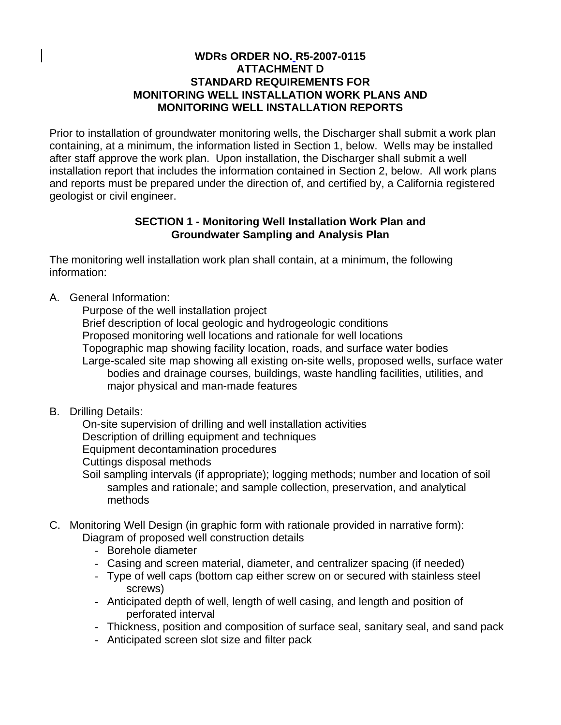# **WDRs ORDER NO. R5-2007-0115 ATTACHMENT D STANDARD REQUIREMENTS FOR MONITORING WELL INSTALLATION WORK PLANS AND MONITORING WELL INSTALLATION REPORTS**

Prior to installation of groundwater monitoring wells, the Discharger shall submit a work plan containing, at a minimum, the information listed in Section 1, below. Wells may be installed after staff approve the work plan. Upon installation, the Discharger shall submit a well installation report that includes the information contained in Section 2, below. All work plans and reports must be prepared under the direction of, and certified by, a California registered geologist or civil engineer.

# **SECTION 1 - Monitoring Well Installation Work Plan and Groundwater Sampling and Analysis Plan**

The monitoring well installation work plan shall contain, at a minimum, the following information:

A. General Information:

 Purpose of the well installation project Brief description of local geologic and hydrogeologic conditions Proposed monitoring well locations and rationale for well locations Topographic map showing facility location, roads, and surface water bodies Large-scaled site map showing all existing on-site wells, proposed wells, surface water bodies and drainage courses, buildings, waste handling facilities, utilities, and major physical and man-made features

B. Drilling Details:

 On-site supervision of drilling and well installation activities Description of drilling equipment and techniques Equipment decontamination procedures Cuttings disposal methods

- Soil sampling intervals (if appropriate); logging methods; number and location of soil samples and rationale; and sample collection, preservation, and analytical methods
- C. Monitoring Well Design (in graphic form with rationale provided in narrative form): Diagram of proposed well construction details
	- Borehole diameter
	- Casing and screen material, diameter, and centralizer spacing (if needed)
	- Type of well caps (bottom cap either screw on or secured with stainless steel screws)
	- Anticipated depth of well, length of well casing, and length and position of perforated interval
	- Thickness, position and composition of surface seal, sanitary seal, and sand pack
	- Anticipated screen slot size and filter pack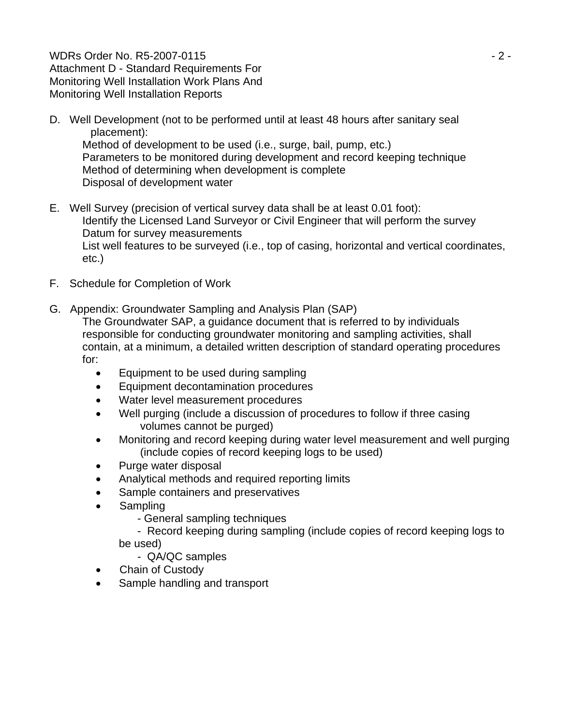WDRs Order No. R5-2007-0115 - 2 - Attachment D - Standard Requirements For Monitoring Well Installation Work Plans And Monitoring Well Installation Reports

- D. Well Development (not to be performed until at least 48 hours after sanitary seal placement): Method of development to be used (i.e., surge, bail, pump, etc.) Parameters to be monitored during development and record keeping technique Method of determining when development is complete Disposal of development water
- E. Well Survey (precision of vertical survey data shall be at least 0.01 foot): Identify the Licensed Land Surveyor or Civil Engineer that will perform the survey Datum for survey measurements List well features to be surveyed (i.e., top of casing, horizontal and vertical coordinates, etc.)
- F. Schedule for Completion of Work
- G. Appendix: Groundwater Sampling and Analysis Plan (SAP)

The Groundwater SAP, a guidance document that is referred to by individuals responsible for conducting groundwater monitoring and sampling activities, shall contain, at a minimum, a detailed written description of standard operating procedures for:

- Equipment to be used during sampling
- Equipment decontamination procedures
- Water level measurement procedures
- Well purging (include a discussion of procedures to follow if three casing volumes cannot be purged)
- Monitoring and record keeping during water level measurement and well purging (include copies of record keeping logs to be used)
- Purge water disposal
- Analytical methods and required reporting limits
- Sample containers and preservatives
- Sampling
	- General sampling techniques

 - Record keeping during sampling (include copies of record keeping logs to be used)

- QA/QC samples

- Chain of Custody
- Sample handling and transport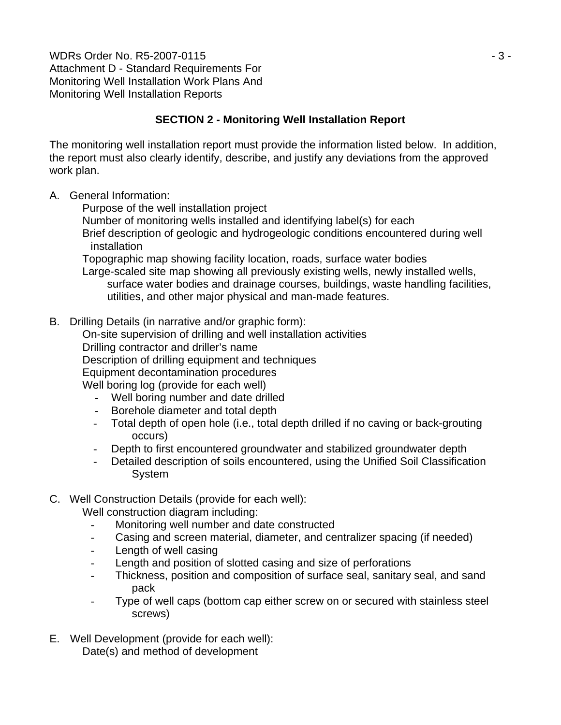WDRs Order No. R5-2007-0115 - 3 - Attachment D - Standard Requirements For Monitoring Well Installation Work Plans And Monitoring Well Installation Reports

# **SECTION 2 - Monitoring Well Installation Report**

The monitoring well installation report must provide the information listed below. In addition, the report must also clearly identify, describe, and justify any deviations from the approved work plan.

# A. General Information:

Purpose of the well installation project

Number of monitoring wells installed and identifying label(s) for each

 Brief description of geologic and hydrogeologic conditions encountered during well installation

Topographic map showing facility location, roads, surface water bodies

 Large-scaled site map showing all previously existing wells, newly installed wells, surface water bodies and drainage courses, buildings, waste handling facilities, utilities, and other major physical and man-made features.

B. Drilling Details (in narrative and/or graphic form):

 On-site supervision of drilling and well installation activities Drilling contractor and driller's name Description of drilling equipment and techniques Equipment decontamination procedures Well boring log (provide for each well)

- Well boring number and date drilled
- Borehole diameter and total depth
- Total depth of open hole (i.e., total depth drilled if no caving or back-grouting occurs)
- Depth to first encountered groundwater and stabilized groundwater depth
- Detailed description of soils encountered, using the Unified Soil Classification System

# C. Well Construction Details (provide for each well):

Well construction diagram including:

- Monitoring well number and date constructed
- Casing and screen material, diameter, and centralizer spacing (if needed)
- Length of well casing
- Length and position of slotted casing and size of perforations
- Thickness, position and composition of surface seal, sanitary seal, and sand pack
- Type of well caps (bottom cap either screw on or secured with stainless steel screws)
- E. Well Development (provide for each well): Date(s) and method of development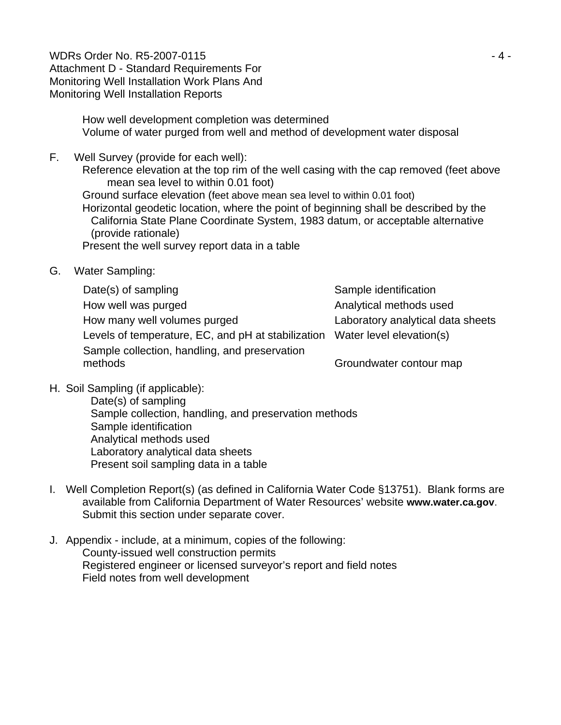WDRs Order No. R5-2007-0115 - 4 - Attachment D - Standard Requirements For Monitoring Well Installation Work Plans And Monitoring Well Installation Reports

 How well development completion was determined Volume of water purged from well and method of development water disposal

F. Well Survey (provide for each well):

 Reference elevation at the top rim of the well casing with the cap removed (feet above mean sea level to within 0.01 foot) Ground surface elevation (feet above mean sea level to within 0.01 foot) Horizontal geodetic location, where the point of beginning shall be described by the California State Plane Coordinate System, 1983 datum, or acceptable alternative (provide rationale)

Present the well survey report data in a table

G. Water Sampling:

Date(s) of sampling Date(s) of sampling How well was purged The Analytical methods used How many well volumes purged Laboratory analytical data sheets Levels of temperature, EC, and pH at stabilization Water level elevation(s) Sample collection, handling, and preservation methods Groundwater contour map

H. Soil Sampling (if applicable):

 Date(s) of sampling Sample collection, handling, and preservation methods Sample identification Analytical methods used Laboratory analytical data sheets Present soil sampling data in a table

- I. Well Completion Report(s) (as defined in California Water Code §13751). Blank forms are available from California Department of Water Resources' website **www.water.ca.gov**. Submit this section under separate cover.
- J. Appendix include, at a minimum, copies of the following: County-issued well construction permits Registered engineer or licensed surveyor's report and field notes Field notes from well development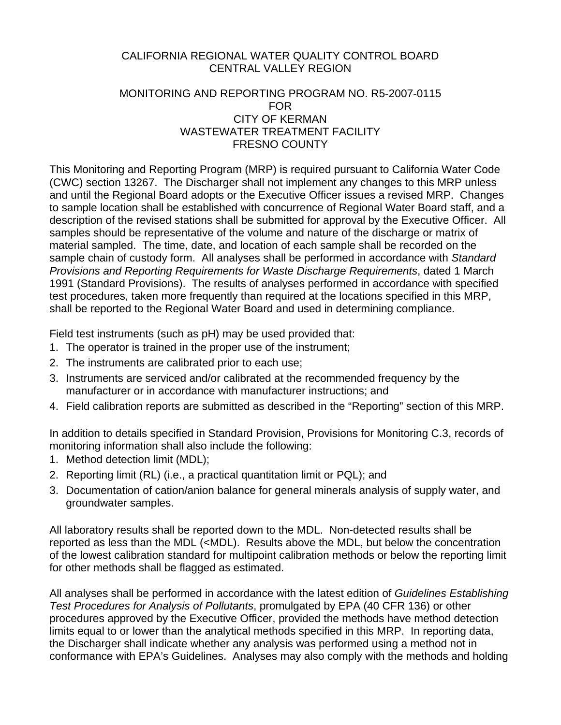# CALIFORNIA REGIONAL WATER QUALITY CONTROL BOARD CENTRAL VALLEY REGION

#### MONITORING AND REPORTING PROGRAM NO. R5-2007-0115 FOR CITY OF KERMAN WASTEWATER TREATMENT FACILITY FRESNO COUNTY

This Monitoring and Reporting Program (MRP) is required pursuant to California Water Code (CWC) section 13267. The Discharger shall not implement any changes to this MRP unless and until the Regional Board adopts or the Executive Officer issues a revised MRP. Changes to sample location shall be established with concurrence of Regional Water Board staff, and a description of the revised stations shall be submitted for approval by the Executive Officer. All samples should be representative of the volume and nature of the discharge or matrix of material sampled. The time, date, and location of each sample shall be recorded on the sample chain of custody form. All analyses shall be performed in accordance with *Standard Provisions and Reporting Requirements for Waste Discharge Requirements*, dated 1 March 1991 (Standard Provisions). The results of analyses performed in accordance with specified test procedures, taken more frequently than required at the locations specified in this MRP, shall be reported to the Regional Water Board and used in determining compliance.

Field test instruments (such as pH) may be used provided that:

- 1. The operator is trained in the proper use of the instrument;
- 2. The instruments are calibrated prior to each use;
- 3. Instruments are serviced and/or calibrated at the recommended frequency by the manufacturer or in accordance with manufacturer instructions; and
- 4. Field calibration reports are submitted as described in the "Reporting" section of this MRP.

In addition to details specified in Standard Provision, Provisions for Monitoring C.3, records of monitoring information shall also include the following:

- 1. Method detection limit (MDL);
- 2. Reporting limit (RL) (i.e., a practical quantitation limit or PQL); and
- 3. Documentation of cation/anion balance for general minerals analysis of supply water, and groundwater samples.

All laboratory results shall be reported down to the MDL. Non-detected results shall be reported as less than the MDL (<MDL). Results above the MDL, but below the concentration of the lowest calibration standard for multipoint calibration methods or below the reporting limit for other methods shall be flagged as estimated.

All analyses shall be performed in accordance with the latest edition of *Guidelines Establishing Test Procedures for Analysis of Pollutants*, promulgated by EPA (40 CFR 136) or other procedures approved by the Executive Officer, provided the methods have method detection limits equal to or lower than the analytical methods specified in this MRP. In reporting data, the Discharger shall indicate whether any analysis was performed using a method not in conformance with EPA's Guidelines. Analyses may also comply with the methods and holding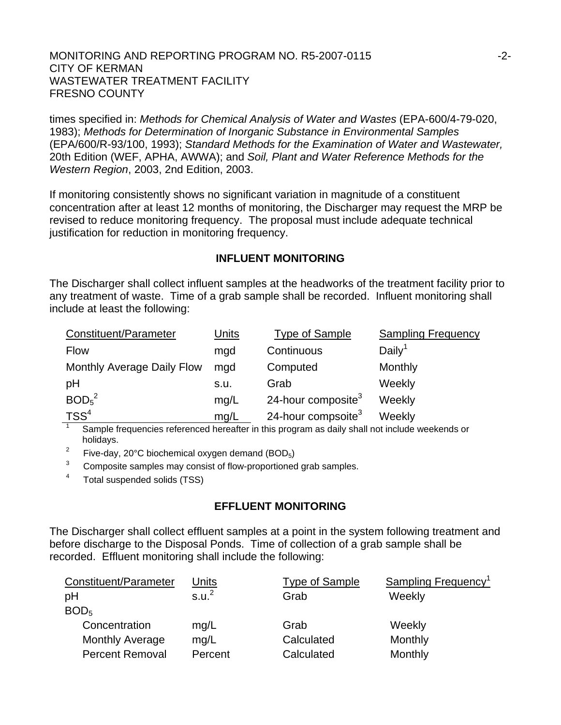times specified in: *Methods for Chemical Analysis of Water and Wastes* (EPA-600/4-79-020, 1983); *Methods for Determination of Inorganic Substance in Environmental Samples* (EPA/600/R-93/100, 1993); *Standard Methods for the Examination of Water and Wastewater,* 20th Edition (WEF, APHA, AWWA); and *Soil, Plant and Water Reference Methods for the Western Region*, 2003, 2nd Edition, 2003.

If monitoring consistently shows no significant variation in magnitude of a constituent concentration after at least 12 months of monitoring, the Discharger may request the MRP be revised to reduce monitoring frequency. The proposal must include adequate technical justification for reduction in monitoring frequency.

#### **INFLUENT MONITORING**

The Discharger shall collect influent samples at the headworks of the treatment facility prior to any treatment of waste. Time of a grab sample shall be recorded. Influent monitoring shall include at least the following:

| Constituent/Parameter         | Units | <b>Type of Sample</b>          | <b>Sampling Frequency</b> |
|-------------------------------|-------|--------------------------------|---------------------------|
| <b>Flow</b>                   | mgd   | Continuous                     | Daily <sup>1</sup>        |
| Monthly Average Daily Flow    | mgd   | Computed                       | Monthly                   |
| pH                            | s.u.  | Grab                           | Weekly                    |
| BOD <sub>5</sub> <sup>2</sup> | mq/L  | 24-hour composite <sup>3</sup> | Weekly                    |
| TSS <sup>4</sup>              | mq/L  | 24-hour compsoite <sup>3</sup> | Weekly                    |

1 Sample frequencies referenced hereafter in this program as daily shall not include weekends or holidays.

2 Five-day, 20°C biochemical oxygen demand (BOD5)

3 Composite samples may consist of flow-proportioned grab samples.

4 Total suspended solids (TSS)

## **EFFLUENT MONITORING**

The Discharger shall collect effluent samples at a point in the system following treatment and before discharge to the Disposal Ponds. Time of collection of a grab sample shall be recorded. Effluent monitoring shall include the following:

| Constituent/Parameter  | Units             | <b>Type of Sample</b> | <b>Sampling Frequency<sup>1</sup></b> |
|------------------------|-------------------|-----------------------|---------------------------------------|
| pH                     | s.u. <sup>2</sup> | Grab                  | Weekly                                |
| BOD <sub>5</sub>       |                   |                       |                                       |
| Concentration          | mg/L              | Grab                  | Weekly                                |
| <b>Monthly Average</b> | mq/L              | Calculated            | Monthly                               |
| <b>Percent Removal</b> | Percent           | Calculated            | Monthly                               |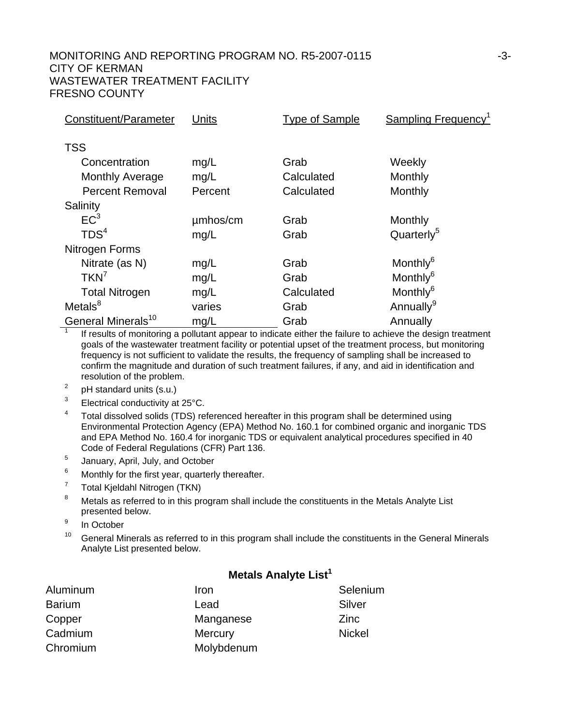| Constituent/Parameter          | Units    | <b>Type of Sample</b> | Sampling Frequency <sup>1</sup> |
|--------------------------------|----------|-----------------------|---------------------------------|
|                                |          |                       |                                 |
| <b>TSS</b>                     |          |                       |                                 |
| Concentration                  | mg/L     | Grab                  | Weekly                          |
| <b>Monthly Average</b>         | mg/L     | Calculated            | Monthly                         |
| <b>Percent Removal</b>         | Percent  | Calculated            | Monthly                         |
| Salinity                       |          |                       |                                 |
| EC <sup>3</sup>                | umhos/cm | Grab                  | Monthly                         |
| TDS <sup>4</sup>               | mg/L     | Grab                  | Quarterly <sup>5</sup>          |
| Nitrogen Forms                 |          |                       |                                 |
| Nitrate (as N)                 | mg/L     | Grab                  | Monthly <sup>6</sup>            |
| $TKN^7$                        | mg/L     | Grab                  | Monthly <sup>6</sup>            |
| <b>Total Nitrogen</b>          | mg/L     | Calculated            | Monthly <sup>6</sup>            |
| Metals <sup>8</sup>            | varies   | Grab                  | Annually <sup>9</sup>           |
| General Minerals <sup>10</sup> | mg/L     | Grab                  | Annually                        |

1 If results of monitoring a pollutant appear to indicate either the failure to achieve the design treatment goals of the wastewater treatment facility or potential upset of the treatment process, but monitoring frequency is not sufficient to validate the results, the frequency of sampling shall be increased to confirm the magnitude and duration of such treatment failures, if any, and aid in identification and resolution of the problem.

- 2 pH standard units (s.u.)
- 3 Electrical conductivity at 25°C.
- 4 Total dissolved solids (TDS) referenced hereafter in this program shall be determined using Environmental Protection Agency (EPA) Method No. 160.1 for combined organic and inorganic TDS and EPA Method No. 160.4 for inorganic TDS or equivalent analytical procedures specified in 40 Code of Federal Regulations (CFR) Part 136.
- 5 January, April, July, and October
- 6 Monthly for the first year, quarterly thereafter.
- 7 Total Kjeldahl Nitrogen (TKN)
- 8 Metals as referred to in this program shall include the constituents in the Metals Analyte List presented below.
- 9 In October
- $10$  General Minerals as referred to in this program shall include the constituents in the General Minerals Analyte List presented below.

#### **Metals Analyte List<sup>1</sup>**

| Aluminum      | Iron           | Selenium      |
|---------------|----------------|---------------|
| <b>Barium</b> | Lead           | Silver        |
| Copper        | Manganese      | Zinc          |
| Cadmium       | <b>Mercury</b> | <b>Nickel</b> |
| Chromium      | Molybdenum     |               |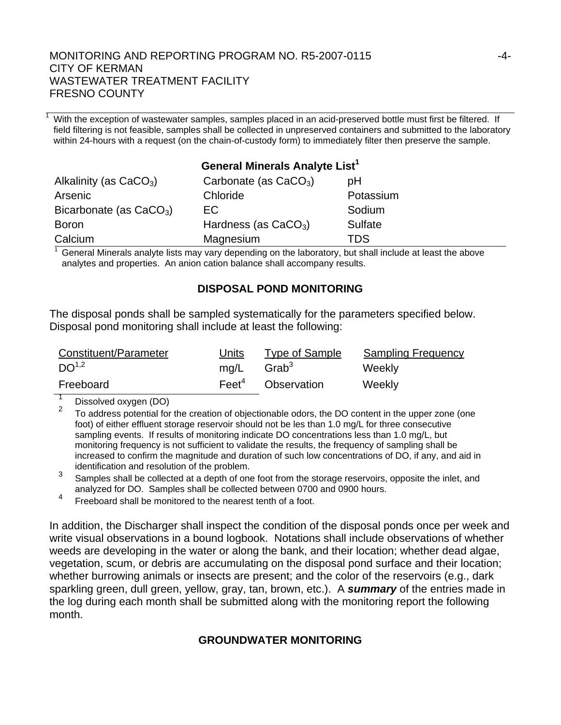With the exception of wastewater samples, samples placed in an acid-preserved bottle must first be filtered. If field filtering is not feasible, samples shall be collected in unpreserved containers and submitted to the laboratory within 24-hours with a request (on the chain-of-custody form) to immediately filter then preserve the sample.

| General Minerals Analyte List <sup>1</sup> |                         |                |  |  |
|--------------------------------------------|-------------------------|----------------|--|--|
| Alkalinity (as $CaCO3$ )                   | Carbonate (as $CaCO3$ ) | рH             |  |  |
| Arsenic                                    | Chloride                | Potassium      |  |  |
| Bicarbonate (as $CaCO3$ )                  | EC.                     | Sodium         |  |  |
| <b>Boron</b>                               | Hardness (as $CaCO3$ )  | <b>Sulfate</b> |  |  |
| Calcium                                    | Magnesium               | TDS            |  |  |

 $1$  General Minerals analyte lists may vary depending on the laboratory, but shall include at least the above analytes and properties. An anion cation balance shall accompany results.

## **DISPOSAL POND MONITORING**

The disposal ponds shall be sampled systematically for the parameters specified below. Disposal pond monitoring shall include at least the following:

| Constituent/Parameter | Units             | Type of Sample    | <b>Sampling Frequency</b> |
|-----------------------|-------------------|-------------------|---------------------------|
| DO <sup>1,2</sup>     | mg/L              | Grab <sup>3</sup> | Weekly                    |
| Freeboard             | $\mathsf{Feet}^4$ | Observation       | Weekly                    |

 $\frac{1}{2}$  Dissolved oxygen (DO)

1

<sup>2</sup> To address potential for the creation of objectionable odors, the DO content in the upper zone (one foot) of either effluent storage reservoir should not be les than 1.0 mg/L for three consecutive sampling events. If results of monitoring indicate DO concentrations less than 1.0 mg/L, but monitoring frequency is not sufficient to validate the results, the frequency of sampling shall be increased to confirm the magnitude and duration of such low concentrations of DO, if any, and aid in identification and resolution of the problem.

3 Samples shall be collected at a depth of one foot from the storage reservoirs, opposite the inlet, and analyzed for DO. Samples shall be collected between 0700 and 0900 hours.

<sup>4</sup> Freeboard shall be monitored to the nearest tenth of a foot.

In addition, the Discharger shall inspect the condition of the disposal ponds once per week and write visual observations in a bound logbook. Notations shall include observations of whether weeds are developing in the water or along the bank, and their location; whether dead algae, vegetation, scum, or debris are accumulating on the disposal pond surface and their location; whether burrowing animals or insects are present; and the color of the reservoirs (e.g., dark sparkling green, dull green, yellow, gray, tan, brown, etc.). A *summary* of the entries made in the log during each month shall be submitted along with the monitoring report the following month.

## **GROUNDWATER MONITORING**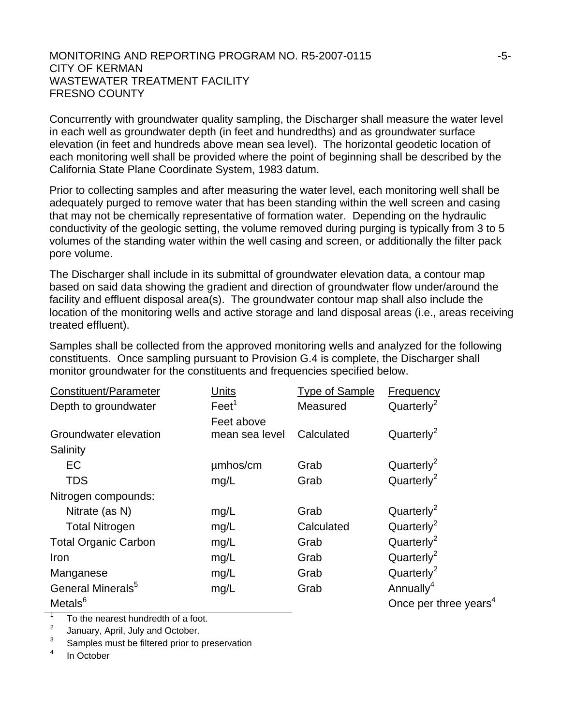Concurrently with groundwater quality sampling, the Discharger shall measure the water level in each well as groundwater depth (in feet and hundredths) and as groundwater surface elevation (in feet and hundreds above mean sea level). The horizontal geodetic location of each monitoring well shall be provided where the point of beginning shall be described by the California State Plane Coordinate System, 1983 datum.

Prior to collecting samples and after measuring the water level, each monitoring well shall be adequately purged to remove water that has been standing within the well screen and casing that may not be chemically representative of formation water. Depending on the hydraulic conductivity of the geologic setting, the volume removed during purging is typically from 3 to 5 volumes of the standing water within the well casing and screen, or additionally the filter pack pore volume.

The Discharger shall include in its submittal of groundwater elevation data, a contour map based on said data showing the gradient and direction of groundwater flow under/around the facility and effluent disposal area(s). The groundwater contour map shall also include the location of the monitoring wells and active storage and land disposal areas (i.e., areas receiving treated effluent).

Samples shall be collected from the approved monitoring wells and analyzed for the following constituents. Once sampling pursuant to Provision G.4 is complete, the Discharger shall monitor groundwater for the constituents and frequencies specified below.

| Constituent/Parameter         | Units             | <b>Type of Sample</b> | <b>Frequency</b>                  |
|-------------------------------|-------------------|-----------------------|-----------------------------------|
| Depth to groundwater          | Feet <sup>1</sup> | Measured              | Quarterly <sup>2</sup>            |
|                               | Feet above        |                       |                                   |
| Groundwater elevation         | mean sea level    | Calculated            | Quarterly <sup>2</sup>            |
| Salinity                      |                   |                       |                                   |
| EC                            | umhos/cm          | Grab                  | Quarterly <sup>2</sup>            |
| <b>TDS</b>                    | mg/L              | Grab                  | Quarterly <sup>2</sup>            |
| Nitrogen compounds:           |                   |                       |                                   |
| Nitrate (as N)                | mg/L              | Grab                  | Quarterly <sup>2</sup>            |
| <b>Total Nitrogen</b>         | mg/L              | Calculated            | Quarterly <sup>2</sup>            |
| <b>Total Organic Carbon</b>   | mg/L              | Grab                  | Quarterly <sup>2</sup>            |
| Iron                          | mg/L              | Grab                  | Quarterly <sup>2</sup>            |
| Manganese                     | mg/L              | Grab                  | Quarterly <sup>2</sup>            |
| General Minerals <sup>5</sup> | mg/L              | Grab                  | Annually <sup>4</sup>             |
| Metals <sup>6</sup>           |                   |                       | Once per three years <sup>4</sup> |

1 To the nearest hundredth of a foot.

 $\mathfrak{D}$ January, April, July and October.

3 Samples must be filtered prior to preservation

4 In October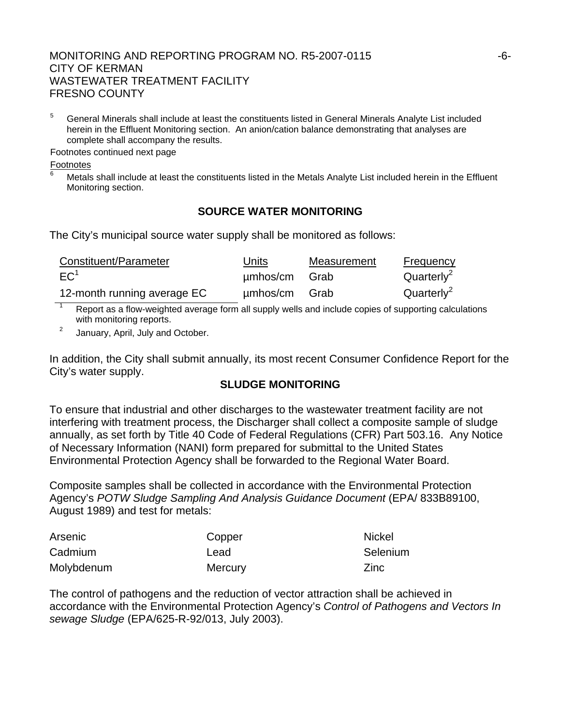5 General Minerals shall include at least the constituents listed in General Minerals Analyte List included herein in the Effluent Monitoring section. An anion/cation balance demonstrating that analyses are complete shall accompany the results.

Footnotes continued next page

Footnotes

6

 Metals shall include at least the constituents listed in the Metals Analyte List included herein in the Effluent Monitoring section.

# **SOURCE WATER MONITORING**

The City's municipal source water supply shall be monitored as follows:

| Constituent/Parameter       | <b>Units</b>  | Measurement | Frequency              |
|-----------------------------|---------------|-------------|------------------------|
| EC <sup>1</sup>             | umhos/cm Grab |             | Quarterly <sup>2</sup> |
| 12-month running average EC | umhos/cm Grab |             | Quarterly <sup>2</sup> |

1 Report as a flow-weighted average form all supply wells and include copies of supporting calculations with monitoring reports.

2 January, April, July and October.

In addition, the City shall submit annually, its most recent Consumer Confidence Report for the City's water supply.

## **SLUDGE MONITORING**

To ensure that industrial and other discharges to the wastewater treatment facility are not interfering with treatment process, the Discharger shall collect a composite sample of sludge annually, as set forth by Title 40 Code of Federal Regulations (CFR) Part 503.16. Any Notice of Necessary Information (NANI) form prepared for submittal to the United States Environmental Protection Agency shall be forwarded to the Regional Water Board.

Composite samples shall be collected in accordance with the Environmental Protection Agency's *POTW Sludge Sampling And Analysis Guidance Document* (EPA/ 833B89100, August 1989) and test for metals:

| Arsenic    | Copper         | <b>Nickel</b> |
|------------|----------------|---------------|
| Cadmium    | Lead           | Selenium      |
| Molybdenum | <b>Mercury</b> | <b>Zinc</b>   |

The control of pathogens and the reduction of vector attraction shall be achieved in accordance with the Environmental Protection Agency's *Control of Pathogens and Vectors In sewage Sludge* (EPA/625-R-92/013, July 2003).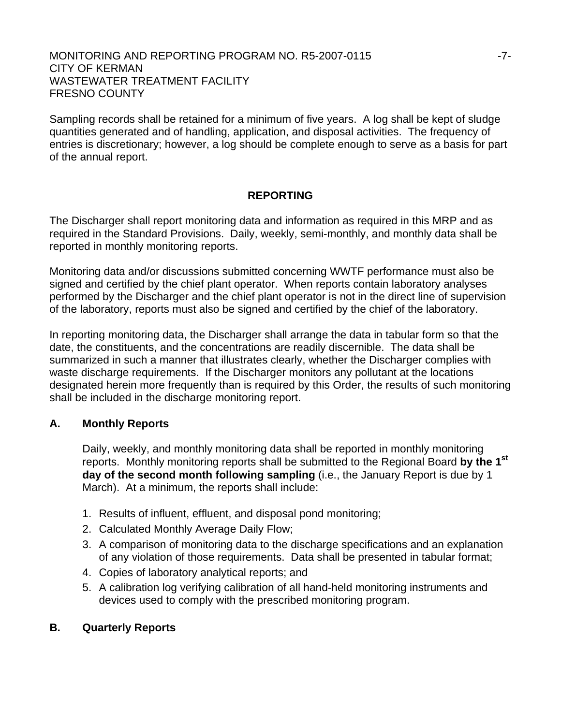Sampling records shall be retained for a minimum of five years. A log shall be kept of sludge quantities generated and of handling, application, and disposal activities. The frequency of entries is discretionary; however, a log should be complete enough to serve as a basis for part of the annual report.

## **REPORTING**

The Discharger shall report monitoring data and information as required in this MRP and as required in the Standard Provisions. Daily, weekly, semi-monthly, and monthly data shall be reported in monthly monitoring reports.

Monitoring data and/or discussions submitted concerning WWTF performance must also be signed and certified by the chief plant operator. When reports contain laboratory analyses performed by the Discharger and the chief plant operator is not in the direct line of supervision of the laboratory, reports must also be signed and certified by the chief of the laboratory.

In reporting monitoring data, the Discharger shall arrange the data in tabular form so that the date, the constituents, and the concentrations are readily discernible. The data shall be summarized in such a manner that illustrates clearly, whether the Discharger complies with waste discharge requirements. If the Discharger monitors any pollutant at the locations designated herein more frequently than is required by this Order, the results of such monitoring shall be included in the discharge monitoring report.

## **A. Monthly Reports**

Daily, weekly, and monthly monitoring data shall be reported in monthly monitoring reports. Monthly monitoring reports shall be submitted to the Regional Board **by the 1st day of the second month following sampling** (i.e., the January Report is due by 1 March). At a minimum, the reports shall include:

- 1. Results of influent, effluent, and disposal pond monitoring;
- 2. Calculated Monthly Average Daily Flow;
- 3. A comparison of monitoring data to the discharge specifications and an explanation of any violation of those requirements. Data shall be presented in tabular format;
- 4. Copies of laboratory analytical reports; and
- 5. A calibration log verifying calibration of all hand-held monitoring instruments and devices used to comply with the prescribed monitoring program.

## **B. Quarterly Reports**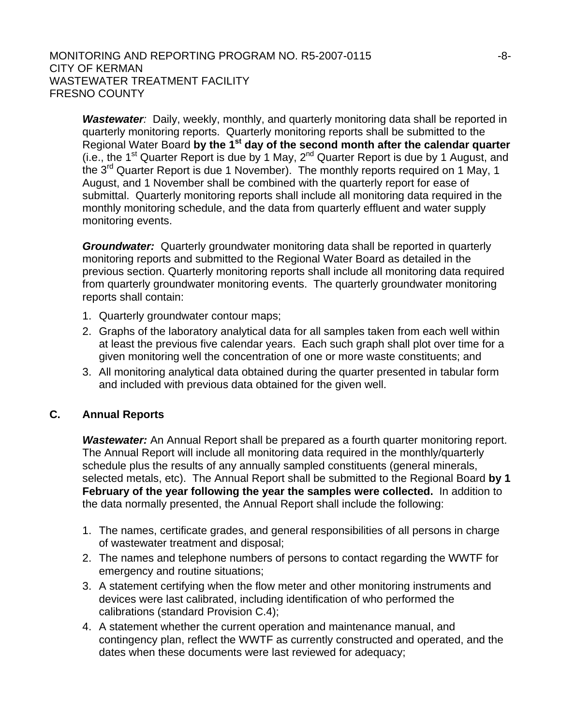**Wastewater**: Daily, weekly, monthly, and quarterly monitoring data shall be reported in quarterly monitoring reports. Quarterly monitoring reports shall be submitted to the Regional Water Board **by the 1st day of the second month after the calendar quarter** (i.e., the 1<sup>st</sup> Quarter Report is due by 1 May,  $2^{nd}$  Quarter Report is due by 1 August, and the 3<sup>rd</sup> Quarter Report is due 1 November). The monthly reports required on 1 May, 1 August, and 1 November shall be combined with the quarterly report for ease of submittal. Quarterly monitoring reports shall include all monitoring data required in the monthly monitoring schedule, and the data from quarterly effluent and water supply monitoring events.

*Groundwater:* Quarterly groundwater monitoring data shall be reported in quarterly monitoring reports and submitted to the Regional Water Board as detailed in the previous section. Quarterly monitoring reports shall include all monitoring data required from quarterly groundwater monitoring events. The quarterly groundwater monitoring reports shall contain:

- 1. Quarterly groundwater contour maps;
- 2. Graphs of the laboratory analytical data for all samples taken from each well within at least the previous five calendar years. Each such graph shall plot over time for a given monitoring well the concentration of one or more waste constituents; and
- 3. All monitoring analytical data obtained during the quarter presented in tabular form and included with previous data obtained for the given well.

## **C. Annual Reports**

*Wastewater:* An Annual Report shall be prepared as a fourth quarter monitoring report. The Annual Report will include all monitoring data required in the monthly/quarterly schedule plus the results of any annually sampled constituents (general minerals, selected metals, etc). The Annual Report shall be submitted to the Regional Board **by 1 February of the year following the year the samples were collected.** In addition to the data normally presented, the Annual Report shall include the following:

- 1. The names, certificate grades, and general responsibilities of all persons in charge of wastewater treatment and disposal;
- 2. The names and telephone numbers of persons to contact regarding the WWTF for emergency and routine situations;
- 3. A statement certifying when the flow meter and other monitoring instruments and devices were last calibrated, including identification of who performed the calibrations (standard Provision C.4);
- 4. A statement whether the current operation and maintenance manual, and contingency plan, reflect the WWTF as currently constructed and operated, and the dates when these documents were last reviewed for adequacy;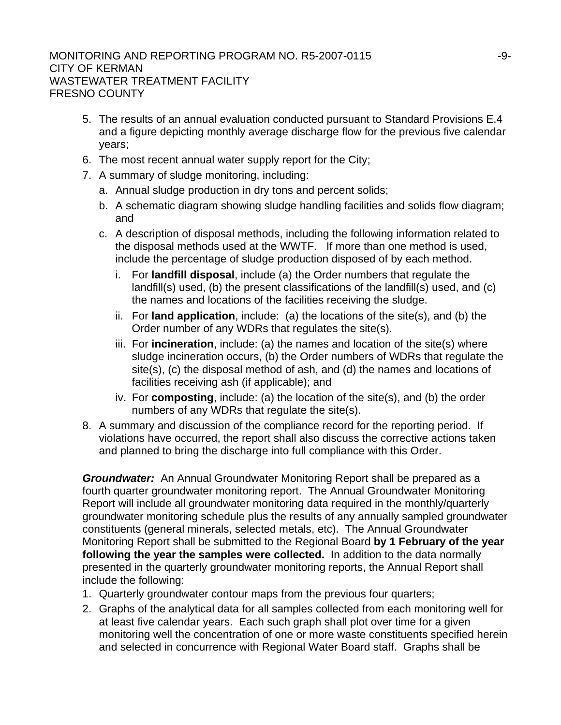- 5. The results of an annual evaluation conducted pursuant to Standard Provisions E.4 and a figure depicting monthly average discharge flow for the previous five calendar years;
- 6. The most recent annual water supply report for the City;
- 7. A summary of sludge monitoring, including:
	- a. Annual sludge production in dry tons and percent solids;
	- b. A schematic diagram showing sludge handling facilities and solids flow diagram; and
	- c. A description of disposal methods, including the following information related to the disposal methods used at the WWTF. If more than one method is used, include the percentage of sludge production disposed of by each method.
		- i. For **landfill disposal**, include (a) the Order numbers that regulate the landfill(s) used, (b) the present classifications of the landfill(s) used, and (c) the names and locations of the facilities receiving the sludge.
		- ii. For **land application**, include: (a) the locations of the site(s), and (b) the Order number of any WDRs that regulates the site(s).
		- iii. For **incineration**, include: (a) the names and location of the site(s) where sludge incineration occurs, (b) the Order numbers of WDRs that regulate the site(s), (c) the disposal method of ash, and (d) the names and locations of facilities receiving ash (if applicable); and
		- iv. For **composting**, include: (a) the location of the site(s), and (b) the order numbers of any WDRs that regulate the site(s).
- 8. A summary and discussion of the compliance record for the reporting period. If violations have occurred, the report shall also discuss the corrective actions taken and planned to bring the discharge into full compliance with this Order.

*Groundwater:* An Annual Groundwater Monitoring Report shall be prepared as a fourth quarter groundwater monitoring report. The Annual Groundwater Monitoring Report will include all groundwater monitoring data required in the monthly/quarterly groundwater monitoring schedule plus the results of any annually sampled groundwater constituents (general minerals, selected metals, etc). The Annual Groundwater Monitoring Report shall be submitted to the Regional Board **by 1 February of the year following the year the samples were collected.** In addition to the data normally presented in the quarterly groundwater monitoring reports, the Annual Report shall include the following:

- 1. Quarterly groundwater contour maps from the previous four quarters;
- 2. Graphs of the analytical data for all samples collected from each monitoring well for at least five calendar years. Each such graph shall plot over time for a given monitoring well the concentration of one or more waste constituents specified herein and selected in concurrence with Regional Water Board staff. Graphs shall be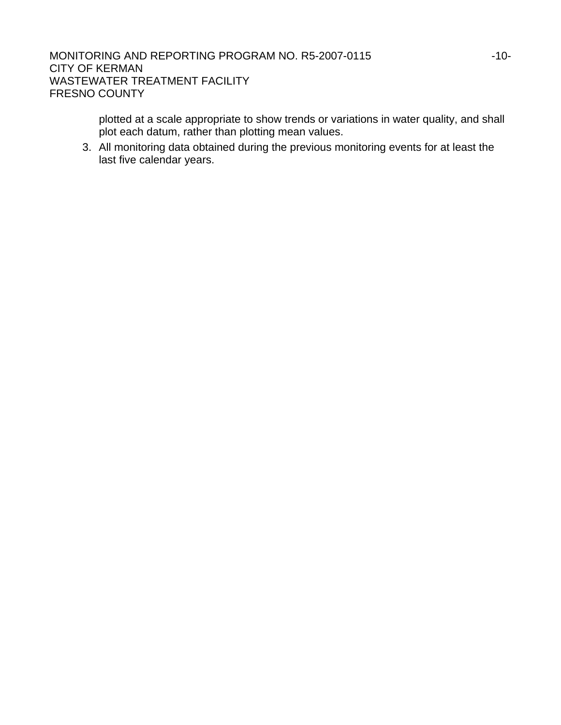> plotted at a scale appropriate to show trends or variations in water quality, and shall plot each datum, rather than plotting mean values.

3. All monitoring data obtained during the previous monitoring events for at least the last five calendar years.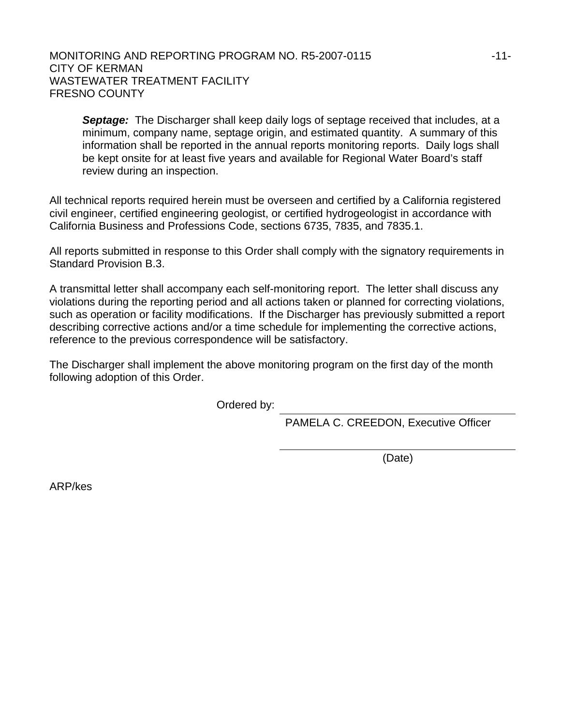#### MONITORING AND REPORTING PROGRAM NO. R5-2007-0115 **11-11-11-11-11-11-11-11-11-11-**CITY OF KERMAN WASTEWATER TREATMENT FACILITY FRESNO COUNTY

*Septage:* The Discharger shall keep daily logs of septage received that includes, at a minimum, company name, septage origin, and estimated quantity. A summary of this information shall be reported in the annual reports monitoring reports. Daily logs shall be kept onsite for at least five years and available for Regional Water Board's staff review during an inspection.

All technical reports required herein must be overseen and certified by a California registered civil engineer, certified engineering geologist, or certified hydrogeologist in accordance with California Business and Professions Code, sections 6735, 7835, and 7835.1.

All reports submitted in response to this Order shall comply with the signatory requirements in Standard Provision B.3.

A transmittal letter shall accompany each self-monitoring report. The letter shall discuss any violations during the reporting period and all actions taken or planned for correcting violations, such as operation or facility modifications. If the Discharger has previously submitted a report describing corrective actions and/or a time schedule for implementing the corrective actions, reference to the previous correspondence will be satisfactory.

The Discharger shall implement the above monitoring program on the first day of the month following adoption of this Order.

Ordered by:

PAMELA C. CREEDON, Executive Officer

(Date)

ARP/kes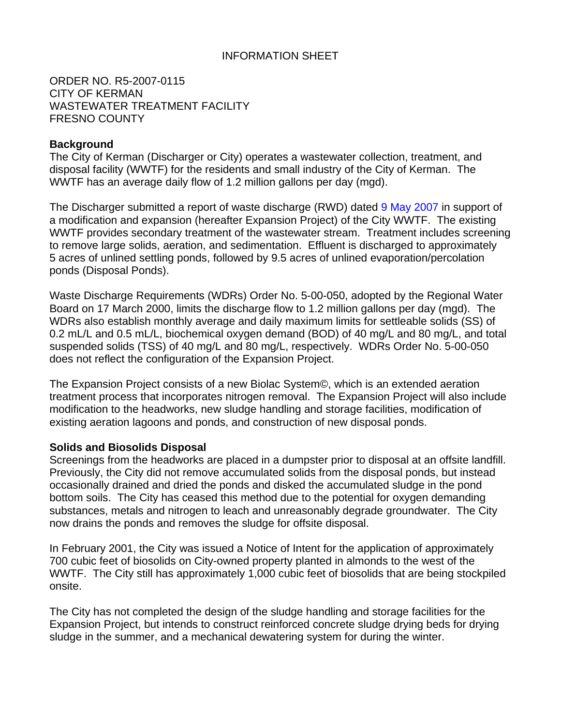## INFORMATION SHEET

ORDER NO. R5-2007-0115 CITY OF KERMAN WASTEWATER TREATMENT FACILITY FRESNO COUNTY

#### **Background**

The City of Kerman (Discharger or City) operates a wastewater collection, treatment, and disposal facility (WWTF) for the residents and small industry of the City of Kerman. The WWTF has an average daily flow of 1.2 million gallons per day (mgd).

The Discharger submitted a report of waste discharge (RWD) dated 9 May 2007 in support of a modification and expansion (hereafter Expansion Project) of the City WWTF. The existing WWTF provides secondary treatment of the wastewater stream. Treatment includes screening to remove large solids, aeration, and sedimentation. Effluent is discharged to approximately 5 acres of unlined settling ponds, followed by 9.5 acres of unlined evaporation/percolation ponds (Disposal Ponds).

Waste Discharge Requirements (WDRs) Order No. 5-00-050, adopted by the Regional Water Board on 17 March 2000, limits the discharge flow to 1.2 million gallons per day (mgd). The WDRs also establish monthly average and daily maximum limits for settleable solids (SS) of 0.2 mL/L and 0.5 mL/L, biochemical oxygen demand (BOD) of 40 mg/L and 80 mg/L, and total suspended solids (TSS) of 40 mg/L and 80 mg/L, respectively. WDRs Order No. 5-00-050 does not reflect the configuration of the Expansion Project.

The Expansion Project consists of a new Biolac System©, which is an extended aeration treatment process that incorporates nitrogen removal. The Expansion Project will also include modification to the headworks, new sludge handling and storage facilities, modification of existing aeration lagoons and ponds, and construction of new disposal ponds.

#### **Solids and Biosolids Disposal**

Screenings from the headworks are placed in a dumpster prior to disposal at an offsite landfill. Previously, the City did not remove accumulated solids from the disposal ponds, but instead occasionally drained and dried the ponds and disked the accumulated sludge in the pond bottom soils. The City has ceased this method due to the potential for oxygen demanding substances, metals and nitrogen to leach and unreasonably degrade groundwater. The City now drains the ponds and removes the sludge for offsite disposal.

In February 2001, the City was issued a Notice of Intent for the application of approximately 700 cubic feet of biosolids on City-owned property planted in almonds to the west of the WWTF. The City still has approximately 1,000 cubic feet of biosolids that are being stockpiled onsite.

The City has not completed the design of the sludge handling and storage facilities for the Expansion Project, but intends to construct reinforced concrete sludge drying beds for drying sludge in the summer, and a mechanical dewatering system for during the winter.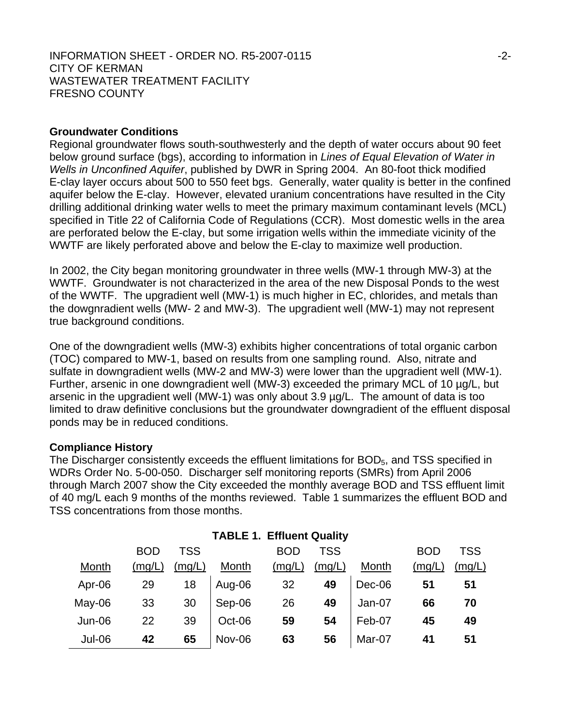#### **Groundwater Conditions**

Regional groundwater flows south-southwesterly and the depth of water occurs about 90 feet below ground surface (bgs), according to information in *Lines of Equal Elevation of Water in Wells in Unconfined Aquifer*, published by DWR in Spring 2004. An 80-foot thick modified E-clay layer occurs about 500 to 550 feet bgs. Generally, water quality is better in the confined aquifer below the E-clay. However, elevated uranium concentrations have resulted in the City drilling additional drinking water wells to meet the primary maximum contaminant levels (MCL) specified in Title 22 of California Code of Regulations (CCR). Most domestic wells in the area are perforated below the E-clay, but some irrigation wells within the immediate vicinity of the WWTF are likely perforated above and below the E-clay to maximize well production.

In 2002, the City began monitoring groundwater in three wells (MW-1 through MW-3) at the WWTF. Groundwater is not characterized in the area of the new Disposal Ponds to the west of the WWTF. The upgradient well (MW-1) is much higher in EC, chlorides, and metals than the dowgnradient wells (MW- 2 and MW-3). The upgradient well (MW-1) may not represent true background conditions.

One of the downgradient wells (MW-3) exhibits higher concentrations of total organic carbon (TOC) compared to MW-1, based on results from one sampling round. Also, nitrate and sulfate in downgradient wells (MW-2 and MW-3) were lower than the upgradient well (MW-1). Further, arsenic in one downgradient well (MW-3) exceeded the primary MCL of 10 µg/L, but arsenic in the upgradient well (MW-1) was only about 3.9 µg/L. The amount of data is too limited to draw definitive conclusions but the groundwater downgradient of the effluent disposal ponds may be in reduced conditions.

#### **Compliance History**

The Discharger consistently exceeds the effluent limitations for BOD<sub>5</sub>, and TSS specified in WDRs Order No. 5-00-050. Discharger self monitoring reports (SMRs) from April 2006 through March 2007 show the City exceeded the monthly average BOD and TSS effluent limit of 40 mg/L each 9 months of the months reviewed. Table 1 summarizes the effluent BOD and TSS concentrations from those months.

|               | <b>BOD</b> | TSS    |        | <b>BOD</b> | <b>TSS</b> |        | <b>BOD</b> | TSS    |
|---------------|------------|--------|--------|------------|------------|--------|------------|--------|
| Month         | (mg/L)     | (mg/L) | Month  | (mg/L)     | (mg/L)     | Month  | (mg/L)     | (mg/L) |
| Apr-06        | 29         | 18     | Aug-06 | 32         | 49         | Dec-06 | 51         | 51     |
| $May-06$      | 33         | 30     | Sep-06 | 26         | 49         | Jan-07 | 66         | 70     |
| $Jun-06$      | 22         | 39     | Oct-06 | 59         | 54         | Feb-07 | 45         | 49     |
| <b>Jul-06</b> | 42         | 65     | Nov-06 | 63         | 56         | Mar-07 | 41         | 51     |

## **TABLE 1. Effluent Quality**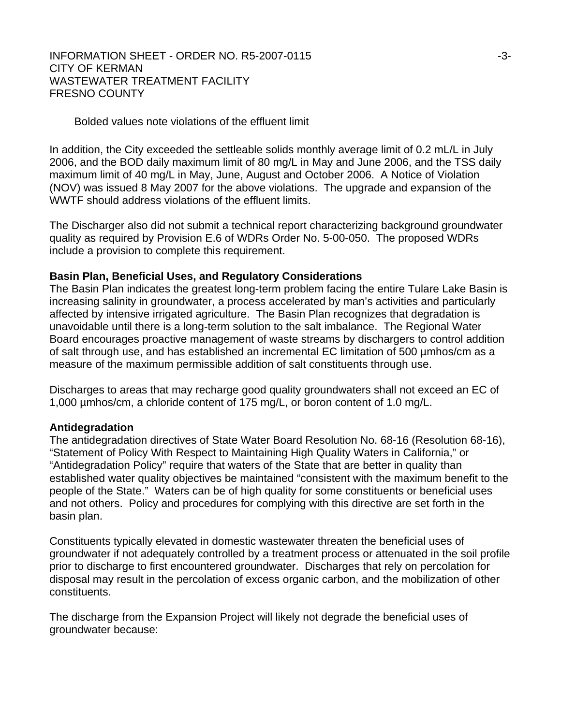#### Bolded values note violations of the effluent limit

In addition, the City exceeded the settleable solids monthly average limit of 0.2 mL/L in July 2006, and the BOD daily maximum limit of 80 mg/L in May and June 2006, and the TSS daily maximum limit of 40 mg/L in May, June, August and October 2006. A Notice of Violation (NOV) was issued 8 May 2007 for the above violations. The upgrade and expansion of the WWTF should address violations of the effluent limits.

The Discharger also did not submit a technical report characterizing background groundwater quality as required by Provision E.6 of WDRs Order No. 5-00-050. The proposed WDRs include a provision to complete this requirement.

#### **Basin Plan, Beneficial Uses, and Regulatory Considerations**

The Basin Plan indicates the greatest long-term problem facing the entire Tulare Lake Basin is increasing salinity in groundwater, a process accelerated by man's activities and particularly affected by intensive irrigated agriculture. The Basin Plan recognizes that degradation is unavoidable until there is a long-term solution to the salt imbalance. The Regional Water Board encourages proactive management of waste streams by dischargers to control addition of salt through use, and has established an incremental EC limitation of 500 µmhos/cm as a measure of the maximum permissible addition of salt constituents through use.

Discharges to areas that may recharge good quality groundwaters shall not exceed an EC of 1,000 µmhos/cm, a chloride content of 175 mg/L, or boron content of 1.0 mg/L.

#### **Antidegradation**

The antidegradation directives of State Water Board Resolution No. 68-16 (Resolution 68-16), "Statement of Policy With Respect to Maintaining High Quality Waters in California," or "Antidegradation Policy" require that waters of the State that are better in quality than established water quality objectives be maintained "consistent with the maximum benefit to the people of the State." Waters can be of high quality for some constituents or beneficial uses and not others. Policy and procedures for complying with this directive are set forth in the basin plan.

Constituents typically elevated in domestic wastewater threaten the beneficial uses of groundwater if not adequately controlled by a treatment process or attenuated in the soil profile prior to discharge to first encountered groundwater. Discharges that rely on percolation for disposal may result in the percolation of excess organic carbon, and the mobilization of other constituents.

The discharge from the Expansion Project will likely not degrade the beneficial uses of groundwater because: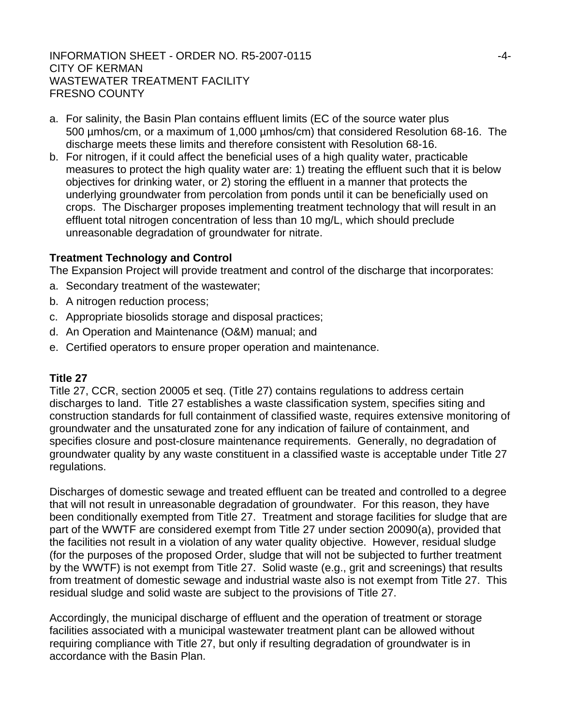- a. For salinity, the Basin Plan contains effluent limits (EC of the source water plus 500 µmhos/cm, or a maximum of 1,000 µmhos/cm) that considered Resolution 68-16. The discharge meets these limits and therefore consistent with Resolution 68-16.
- b. For nitrogen, if it could affect the beneficial uses of a high quality water, practicable measures to protect the high quality water are: 1) treating the effluent such that it is below objectives for drinking water, or 2) storing the effluent in a manner that protects the underlying groundwater from percolation from ponds until it can be beneficially used on crops. The Discharger proposes implementing treatment technology that will result in an effluent total nitrogen concentration of less than 10 mg/L, which should preclude unreasonable degradation of groundwater for nitrate.

## **Treatment Technology and Control**

The Expansion Project will provide treatment and control of the discharge that incorporates:

- a. Secondary treatment of the wastewater;
- b. A nitrogen reduction process;
- c. Appropriate biosolids storage and disposal practices;
- d. An Operation and Maintenance (O&M) manual; and
- e. Certified operators to ensure proper operation and maintenance.

## **Title 27**

Title 27, CCR, section 20005 et seq. (Title 27) contains regulations to address certain discharges to land. Title 27 establishes a waste classification system, specifies siting and construction standards for full containment of classified waste, requires extensive monitoring of groundwater and the unsaturated zone for any indication of failure of containment, and specifies closure and post-closure maintenance requirements. Generally, no degradation of groundwater quality by any waste constituent in a classified waste is acceptable under Title 27 regulations.

Discharges of domestic sewage and treated effluent can be treated and controlled to a degree that will not result in unreasonable degradation of groundwater. For this reason, they have been conditionally exempted from Title 27. Treatment and storage facilities for sludge that are part of the WWTF are considered exempt from Title 27 under section 20090(a), provided that the facilities not result in a violation of any water quality objective. However, residual sludge (for the purposes of the proposed Order, sludge that will not be subjected to further treatment by the WWTF) is not exempt from Title 27. Solid waste (e.g., grit and screenings) that results from treatment of domestic sewage and industrial waste also is not exempt from Title 27. This residual sludge and solid waste are subject to the provisions of Title 27.

Accordingly, the municipal discharge of effluent and the operation of treatment or storage facilities associated with a municipal wastewater treatment plant can be allowed without requiring compliance with Title 27, but only if resulting degradation of groundwater is in accordance with the Basin Plan.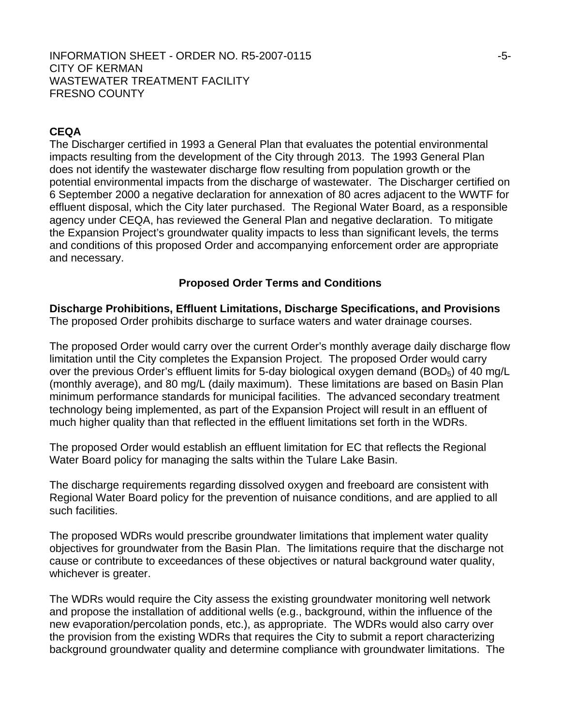## **CEQA**

The Discharger certified in 1993 a General Plan that evaluates the potential environmental impacts resulting from the development of the City through 2013. The 1993 General Plan does not identify the wastewater discharge flow resulting from population growth or the potential environmental impacts from the discharge of wastewater. The Discharger certified on 6 September 2000 a negative declaration for annexation of 80 acres adjacent to the WWTF for effluent disposal, which the City later purchased. The Regional Water Board, as a responsible agency under CEQA, has reviewed the General Plan and negative declaration. To mitigate the Expansion Project's groundwater quality impacts to less than significant levels, the terms and conditions of this proposed Order and accompanying enforcement order are appropriate and necessary.

#### **Proposed Order Terms and Conditions**

**Discharge Prohibitions, Effluent Limitations, Discharge Specifications, and Provisions**  The proposed Order prohibits discharge to surface waters and water drainage courses.

The proposed Order would carry over the current Order's monthly average daily discharge flow limitation until the City completes the Expansion Project. The proposed Order would carry over the previous Order's effluent limits for 5-day biological oxygen demand ( $BOD<sub>5</sub>$ ) of 40 mg/L (monthly average), and 80 mg/L (daily maximum). These limitations are based on Basin Plan minimum performance standards for municipal facilities. The advanced secondary treatment technology being implemented, as part of the Expansion Project will result in an effluent of much higher quality than that reflected in the effluent limitations set forth in the WDRs.

The proposed Order would establish an effluent limitation for EC that reflects the Regional Water Board policy for managing the salts within the Tulare Lake Basin.

The discharge requirements regarding dissolved oxygen and freeboard are consistent with Regional Water Board policy for the prevention of nuisance conditions, and are applied to all such facilities.

The proposed WDRs would prescribe groundwater limitations that implement water quality objectives for groundwater from the Basin Plan. The limitations require that the discharge not cause or contribute to exceedances of these objectives or natural background water quality, whichever is greater.

The WDRs would require the City assess the existing groundwater monitoring well network and propose the installation of additional wells (e.g., background, within the influence of the new evaporation/percolation ponds, etc.), as appropriate. The WDRs would also carry over the provision from the existing WDRs that requires the City to submit a report characterizing background groundwater quality and determine compliance with groundwater limitations. The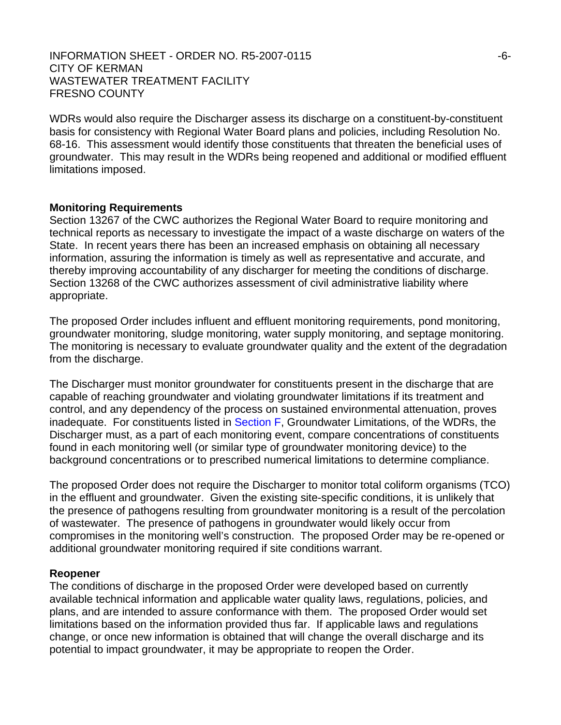WDRs would also require the Discharger assess its discharge on a constituent-by-constituent basis for consistency with Regional Water Board plans and policies, including Resolution No. 68-16. This assessment would identify those constituents that threaten the beneficial uses of groundwater. This may result in the WDRs being reopened and additional or modified effluent limitations imposed.

#### **Monitoring Requirements**

Section 13267 of the CWC authorizes the Regional Water Board to require monitoring and technical reports as necessary to investigate the impact of a waste discharge on waters of the State. In recent years there has been an increased emphasis on obtaining all necessary information, assuring the information is timely as well as representative and accurate, and thereby improving accountability of any discharger for meeting the conditions of discharge. Section 13268 of the CWC authorizes assessment of civil administrative liability where appropriate.

The proposed Order includes influent and effluent monitoring requirements, pond monitoring, groundwater monitoring, sludge monitoring, water supply monitoring, and septage monitoring. The monitoring is necessary to evaluate groundwater quality and the extent of the degradation from the discharge.

The Discharger must monitor groundwater for constituents present in the discharge that are capable of reaching groundwater and violating groundwater limitations if its treatment and control, and any dependency of the process on sustained environmental attenuation, proves inadequate. For constituents listed in Section F, Groundwater Limitations, of the WDRs, the Discharger must, as a part of each monitoring event, compare concentrations of constituents found in each monitoring well (or similar type of groundwater monitoring device) to the background concentrations or to prescribed numerical limitations to determine compliance.

The proposed Order does not require the Discharger to monitor total coliform organisms (TCO) in the effluent and groundwater. Given the existing site-specific conditions, it is unlikely that the presence of pathogens resulting from groundwater monitoring is a result of the percolation of wastewater. The presence of pathogens in groundwater would likely occur from compromises in the monitoring well's construction. The proposed Order may be re-opened or additional groundwater monitoring required if site conditions warrant.

#### **Reopener**

The conditions of discharge in the proposed Order were developed based on currently available technical information and applicable water quality laws, regulations, policies, and plans, and are intended to assure conformance with them. The proposed Order would set limitations based on the information provided thus far. If applicable laws and regulations change, or once new information is obtained that will change the overall discharge and its potential to impact groundwater, it may be appropriate to reopen the Order.